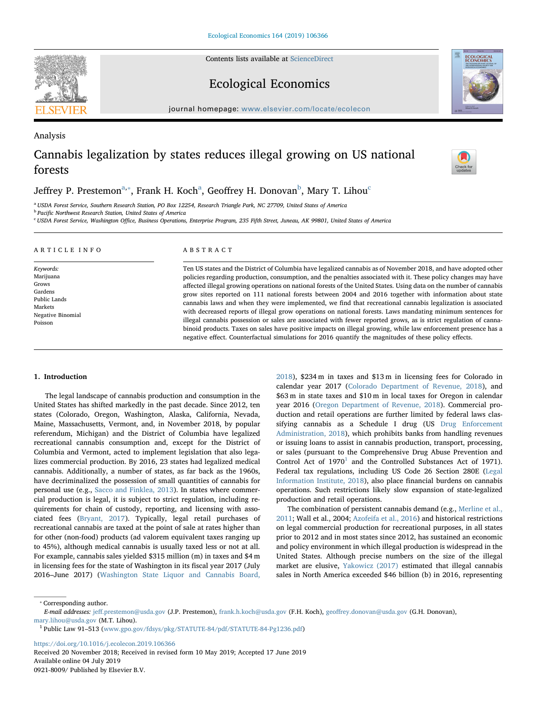Contents lists available at [ScienceDirect](http://www.sciencedirect.com/science/journal/09218009)

## Ecological Economics

journal homepage: [www.elsevier.com/locate/ecolecon](https://www.elsevier.com/locate/ecolecon)

# Analysis Cannabis legalization by states reduces illegal growing on US national forests

## Jeffrey P. Prestemon $^{\rm a, *},$  $^{\rm a, *},$  $^{\rm a, *},$  Fr[a](#page-0-0)nk H. Ko[c](#page-0-3)h $^{\rm a}$ , Geoffrey H. Donovan $^{\rm b}$  $^{\rm b}$  $^{\rm b}$ , Mary T. Lihou $^{\rm c}$

<span id="page-0-0"></span><sup>a</sup> USDA Forest Service, Southern Research Station, PO Box 12254, Research Triangle Park, NC 27709, United States of America

<span id="page-0-2"></span>**b** Pacific Northwest Research Station, United States of America

<span id="page-0-3"></span><sup>c</sup> USDA Forest Service, Washington Office, Business Operations, Enterprise Program, 235 Fifth Street, Juneau, AK 99801, United States of America

| ARTICLE INFO                                                                                          | ABSTRACT                                                                                                                                                                                                                                                                                                                                                                                                                                                                                                                                                                                                                                                                                                                                                                                                                                                                                                                                                                                                                                        |
|-------------------------------------------------------------------------------------------------------|-------------------------------------------------------------------------------------------------------------------------------------------------------------------------------------------------------------------------------------------------------------------------------------------------------------------------------------------------------------------------------------------------------------------------------------------------------------------------------------------------------------------------------------------------------------------------------------------------------------------------------------------------------------------------------------------------------------------------------------------------------------------------------------------------------------------------------------------------------------------------------------------------------------------------------------------------------------------------------------------------------------------------------------------------|
| Keywords:<br>Marijuana<br>Grows<br>Gardens<br>Public Lands<br>Markets<br>Negative Binomial<br>Poisson | Ten US states and the District of Columbia have legalized cannabis as of November 2018, and have adopted other<br>policies regarding production, consumption, and the penalties associated with it. These policy changes may have<br>affected illegal growing operations on national forests of the United States. Using data on the number of cannabis<br>grow sites reported on 111 national forests between 2004 and 2016 together with information about state<br>cannabis laws and when they were implemented, we find that recreational cannabis legalization is associated<br>with decreased reports of illegal grow operations on national forests. Laws mandating minimum sentences for<br>illegal cannabis possession or sales are associated with fewer reported grows, as is strict regulation of canna-<br>binoid products. Taxes on sales have positive impacts on illegal growing, while law enforcement presence has a<br>negative effect. Counterfactual simulations for 2016 quantify the magnitudes of these policy effects. |

## 1. Introduction

The legal landscape of cannabis production and consumption in the United States has shifted markedly in the past decade. Since 2012, ten states (Colorado, Oregon, Washington, Alaska, California, Nevada, Maine, Massachusetts, Vermont, and, in November 2018, by popular referendum, Michigan) and the District of Columbia have legalized recreational cannabis consumption and, except for the District of Columbia and Vermont, acted to implement legislation that also legalizes commercial production. By 2016, 23 states had legalized medical cannabis. Additionally, a number of states, as far back as the 1960s, have decriminalized the possession of small quantities of cannabis for personal use (e.g., [Sacco and Finklea, 2013\)](#page-11-0). In states where commercial production is legal, it is subject to strict regulation, including requirements for chain of custody, reporting, and licensing with associated fees ([Bryant, 2017\)](#page-11-1). Typically, legal retail purchases of recreational cannabis are taxed at the point of sale at rates higher than for other (non-food) products (ad valorem equivalent taxes ranging up to 45%), although medical cannabis is usually taxed less or not at all. For example, cannabis sales yielded \$315 million (m) in taxes and \$4 m in licensing fees for the state of Washington in its fiscal year 2017 (July 2016–June 2017) [\(Washington State Liquor and Cannabis Board,](#page-12-0)

[2018\)](#page-12-0), \$234 m in taxes and \$13 m in licensing fees for Colorado in calendar year 2017 [\(Colorado Department of Revenue, 2018\)](#page-11-2), and \$63 m in state taxes and \$10 m in local taxes for Oregon in calendar year 2016 ([Oregon Department of Revenue, 2018\)](#page-11-3). Commercial production and retail operations are further limited by federal laws classifying cannabis as a Schedule I drug (US [Drug Enforcement](#page-12-1) [Administration, 2018\)](#page-12-1), which prohibits banks from handling revenues or issuing loans to assist in cannabis production, transport, processing, or sales (pursuant to the Comprehensive Drug Abuse Prevention and Control Act of  $1970<sup>1</sup>$  $1970<sup>1</sup>$  and the Controlled Substances Act of 1971). Federal tax regulations, including US Code 26 Section 280E ([Legal](#page-11-4) [Information Institute, 2018\)](#page-11-4), also place financial burdens on cannabis operations. Such restrictions likely slow expansion of state-legalized production and retail operations.

The combination of persistent cannabis demand (e.g., [Merline et al.,](#page-11-5) [2011;](#page-11-5) Wall et al., 2004; [Azofeifa et al., 2016\)](#page-11-6) and historical restrictions on legal commercial production for recreational purposes, in all states prior to 2012 and in most states since 2012, has sustained an economic and policy environment in which illegal production is widespread in the United States. Although precise numbers on the size of the illegal market are elusive, [Yakowicz \(2017\)](#page-12-2) estimated that illegal cannabis sales in North America exceeded \$46 billion (b) in 2016, representing

<span id="page-0-1"></span>⁎ Corresponding author.

<https://doi.org/10.1016/j.ecolecon.2019.106366>

Received 20 November 2018; Received in revised form 10 May 2019; Accepted 17 June 2019 Available online 04 July 2019 0921-8009/ Published by Elsevier B.V.







E-mail addresses: jeff[.prestemon@usda.gov](mailto:jeff.prestemon@usda.gov) (J.P. Prestemon), [frank.h.koch@usda.gov](mailto:frank.h.koch@usda.gov) (F.H. Koch), geoff[rey.donovan@usda.gov](mailto:geoffrey.donovan@usda.gov) (G.H. Donovan), [mary.lihou@usda.gov](mailto:mary.lihou@usda.gov) (M.T. Lihou).

<span id="page-0-4"></span><sup>1</sup> Public Law 91–513 [\(www.gpo.gov/fdsys/pkg/STATUTE-84/pdf/STATUTE-84-Pg1236.pdf\)](http://www.gpo.gov/fdsys/pkg/STATUTE-84/pdf/STATUTE-84-Pg1236.pdf)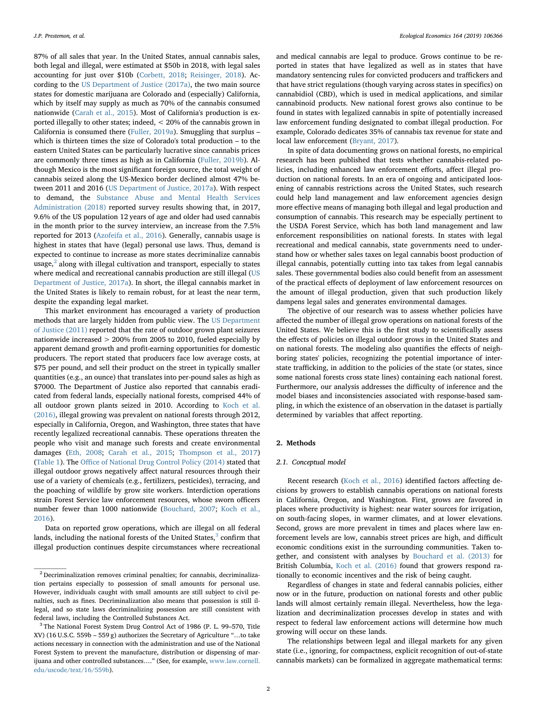87% of all sales that year. In the United States, annual cannabis sales, both legal and illegal, were estimated at \$50b in 2018, with legal sales accounting for just over \$10b ([Corbett, 2018](#page-11-7); [Reisinger, 2018\)](#page-11-8). According to the [US Department of Justice \(2017a\)](#page-12-3), the two main source states for domestic marijuana are Colorado and (especially) California, which by itself may supply as much as 70% of the cannabis consumed nationwide [\(Carah et al., 2015\)](#page-11-9). Most of California's production is exported illegally to other states; indeed, < 20% of the cannabis grown in California is consumed there [\(Fuller, 2019a](#page-11-10)). Smuggling that surplus – which is thirteen times the size of Colorado's total production – to the eastern United States can be particularly lucrative since cannabis prices are commonly three times as high as in California ([Fuller, 2019b](#page-11-11)). Although Mexico is the most significant foreign source, the total weight of cannabis seized along the US-Mexico border declined almost 47% between 2011 and 2016 [\(US Department of Justice, 2017a\)](#page-12-3). With respect to demand, the [Substance Abuse and Mental Health Services](#page-11-12) [Administration \(2018\)](#page-11-12) reported survey results showing that, in 2017, 9.6% of the US population 12 years of age and older had used cannabis in the month prior to the survey interview, an increase from the 7.5% reported for 2013 [\(Azofeifa et al., 2016\)](#page-11-6). Generally, cannabis usage is highest in states that have (legal) personal use laws. Thus, demand is expected to continue to increase as more states decriminalize cannabis usage, $<sup>2</sup>$  $<sup>2</sup>$  $<sup>2</sup>$  along with illegal cultivation and transport, especially to states</sup> where medical and recreational cannabis production are still illegal ([US](#page-12-3) [Department of Justice, 2017a\)](#page-12-3). In short, the illegal cannabis market in the United States is likely to remain robust, for at least the near term, despite the expanding legal market.

This market environment has encouraged a variety of production methods that are largely hidden from public view. The [US Department](#page-12-4) [of Justice \(2011\)](#page-12-4) reported that the rate of outdoor grown plant seizures nationwide increased > 200% from 2005 to 2010, fueled especially by apparent demand growth and profit-earning opportunities for domestic producers. The report stated that producers face low average costs, at \$75 per pound, and sell their product on the street in typically smaller quantities (e.g., an ounce) that translates into per-pound sales as high as \$7000. The Department of Justice also reported that cannabis eradicated from federal lands, especially national forests, comprised 44% of all outdoor grown plants seized in 2010. According to [Koch et al.](#page-11-13) [\(2016\),](#page-11-13) illegal growing was prevalent on national forests through 2012, especially in California, Oregon, and Washington, three states that have recently legalized recreational cannabis. These operations threaten the people who visit and manage such forests and create environmental damages [\(Eth, 2008](#page-11-14); [Carah et al., 2015](#page-11-9); [Thompson et al., 2017\)](#page-12-5) ([Table 1\)](#page-2-0). The Offi[ce of National Drug Control Policy \(2014\)](#page-11-15) stated that illegal outdoor grows negatively affect natural resources through their use of a variety of chemicals (e.g., fertilizers, pesticides), terracing, and the poaching of wildlife by grow site workers. Interdiction operations strain Forest Service law enforcement resources, whose sworn officers number fewer than 1000 nationwide [\(Bouchard, 2007](#page-11-16); [Koch et al.,](#page-11-13) [2016\)](#page-11-13).

Data on reported grow operations, which are illegal on all federal lands, including the national forests of the United States, $3$  confirm that illegal production continues despite circumstances where recreational

and medical cannabis are legal to produce. Grows continue to be reported in states that have legalized as well as in states that have mandatory sentencing rules for convicted producers and traffickers and that have strict regulations (though varying across states in specifics) on cannabidiol (CBD), which is used in medical applications, and similar cannabinoid products. New national forest grows also continue to be found in states with legalized cannabis in spite of potentially increased law enforcement funding designated to combat illegal production. For example, Colorado dedicates 35% of cannabis tax revenue for state and local law enforcement [\(Bryant, 2017](#page-11-1)).

In spite of data documenting grows on national forests, no empirical research has been published that tests whether cannabis-related policies, including enhanced law enforcement efforts, affect illegal production on national forests. In an era of ongoing and anticipated loosening of cannabis restrictions across the United States, such research could help land management and law enforcement agencies design more effective means of managing both illegal and legal production and consumption of cannabis. This research may be especially pertinent to the USDA Forest Service, which has both land management and law enforcement responsibilities on national forests. In states with legal recreational and medical cannabis, state governments need to understand how or whether sales taxes on legal cannabis boost production of illegal cannabis, potentially cutting into tax takes from legal cannabis sales. These governmental bodies also could benefit from an assessment of the practical effects of deployment of law enforcement resources on the amount of illegal production, given that such production likely dampens legal sales and generates environmental damages.

The objective of our research was to assess whether policies have affected the number of illegal grow operations on national forests of the United States. We believe this is the first study to scientifically assess the effects of policies on illegal outdoor grows in the United States and on national forests. The modeling also quantifies the effects of neighboring states' policies, recognizing the potential importance of interstate trafficking, in addition to the policies of the state (or states, since some national forests cross state lines) containing each national forest. Furthermore, our analysis addresses the difficulty of inference and the model biases and inconsistencies associated with response-based sampling, in which the existence of an observation in the dataset is partially determined by variables that affect reporting.

## 2. Methods

## 2.1. Conceptual model

Recent research [\(Koch et al., 2016\)](#page-11-13) identified factors affecting decisions by growers to establish cannabis operations on national forests in California, Oregon, and Washington. First, grows are favored in places where productivity is highest: near water sources for irrigation, on south-facing slopes, in warmer climates, and at lower elevations. Second, grows are more prevalent in times and places where law enforcement levels are low, cannabis street prices are high, and difficult economic conditions exist in the surrounding communities. Taken together, and consistent with analyses by [Bouchard et al. \(2013\)](#page-11-17) for British Columbia, [Koch et al. \(2016\)](#page-11-13) found that growers respond rationally to economic incentives and the risk of being caught.

Regardless of changes in state and federal cannabis policies, either now or in the future, production on national forests and other public lands will almost certainly remain illegal. Nevertheless, how the legalization and decriminalization processes develop in states and with respect to federal law enforcement actions will determine how much growing will occur on these lands.

<span id="page-1-2"></span>The relationships between legal and illegal markets for any given state (i.e., ignoring, for compactness, explicit recognition of out-of-state cannabis markets) can be formalized in aggregate mathematical terms:

<span id="page-1-0"></span><sup>2</sup> Decriminalization removes criminal penalties; for cannabis, decriminalization pertains especially to possession of small amounts for personal use. However, individuals caught with small amounts are still subject to civil penalties, such as fines. Decriminalization also means that possession is still illegal, and so state laws decriminalizing possession are still consistent with federal laws, including the Controlled Substances Act.

<span id="page-1-1"></span><sup>3</sup> The National Forest System Drug Control Act of 1986 (P. L. 99–570, Title XV) (16 U.S.C. 559b – 559 g) authorizes the Secretary of Agriculture "…to take actions necessary in connection with the administration and use of the National Forest System to prevent the manufacture, distribution or dispensing of marijuana and other controlled substances…." (See, for example, [www.law.cornell.](http://www.law.cornell.edu/uscode/text/16/559b) [edu/uscode/text/16/559b](http://www.law.cornell.edu/uscode/text/16/559b)).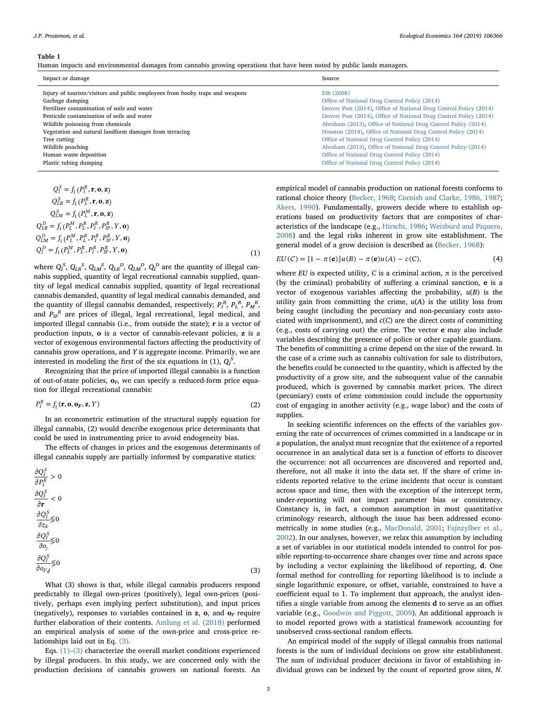<span id="page-2-0"></span>Human impacts and environmental damages from cannabis growing operations that have been noted by public lands managers.

| Impact or damage                                                                                                                                                                                                                                                                                             | Source                                                                                                                                                                                                                                                                                                                                                                                                                                                    |
|--------------------------------------------------------------------------------------------------------------------------------------------------------------------------------------------------------------------------------------------------------------------------------------------------------------|-----------------------------------------------------------------------------------------------------------------------------------------------------------------------------------------------------------------------------------------------------------------------------------------------------------------------------------------------------------------------------------------------------------------------------------------------------------|
| Injury of tourists/visitors and public employees from booby traps and weapons<br>Garbage dumping<br>Fertilizer contamination of soils and water<br>Pesticide contamination of soils and water<br>Wildlife poisoning from chemicals<br>Vegetation and natural landform damages from terracing<br>Tree cutting | Eth (2008)<br>Office of National Drug Control Policy (2014)<br>Denver Post (2014), Office of National Drug Control Policy (2014)<br>Denver Post (2014), Office of National Drug Control Policy (2014)<br>Abraham (2013), Office of National Drug Control Policy (2014)<br>Houston (2014), Office of National Drug Control Policy (2014)<br>Office of National Drug Control Policy (2014)<br>Abraham (2013), Office of National Drug Control Policy (2014) |
| Wildlife poaching<br>Human waste deposition                                                                                                                                                                                                                                                                  | Office of National Drug Control Policy (2014)                                                                                                                                                                                                                                                                                                                                                                                                             |
| Plastic tubing dumping                                                                                                                                                                                                                                                                                       | Office of National Drug Control Policy (2014)                                                                                                                                                                                                                                                                                                                                                                                                             |
|                                                                                                                                                                                                                                                                                                              |                                                                                                                                                                                                                                                                                                                                                                                                                                                           |

$$
Q_I^S = f_1(P_I^R, \mathbf{r}, \mathbf{o}, \mathbf{z})
$$
  
\n
$$
Q_{LR}^S = f_1(P_L^R, \mathbf{r}, \mathbf{o}, \mathbf{z})
$$
  
\n
$$
Q_{LM}^S = f_1(P_L^M, \mathbf{r}, \mathbf{o}, \mathbf{z})
$$
  
\n
$$
Q_{LR}^D = f_1(P_L^M, P_L^R, P_I^R, P_{IR}^R, Y, \mathbf{o})
$$
  
\n
$$
Q_{LM}^D = f_1(P_L^M, P_L^R, P_I^R, P_{IR}^R, Y, \mathbf{o})
$$
  
\n
$$
Q_I^D = f_1(P_L^M, P_L^R, P_I^R, P_{IR}^R, Y, \mathbf{o})
$$
  
\n(1)

where  $Q_l^S$ ,  $Q_{LR}^S$ ,  $Q_{LM}^S$ ,  $Q_{LR}^D$ ,  $Q_{LM}^D$ ,  $Q_l^D$  are the quantity of illegal cannabis supplied, quantity of legal recreational cannabis supplied, quantity of legal medical cannabis supplied, quantity of legal recreational cannabis demanded, quantity of legal medical cannabis demanded, and the quantity of illegal cannabis demanded, respectively;  $P_I^R$ ,  $P_L^R$ ,  $P_M^R$ , and  $P_{IF}^{\phantom{IF}R}$  are prices of illegal, legal recreational, legal medical, and imported illegal cannabis (i.e., from outside the state); r is a vector of production inputs, o is a vector of cannabis-relevant policies, z is a vector of exogenous environmental factors affecting the productivity of cannabis grow operations, and Y is aggregate income. Primarily, we are interested in modeling the first of the six equations in (1),  $Q_l^S$ .

<span id="page-2-2"></span>Recognizing that the price of imported illegal cannabis is a function of out-of-state policies,  $o_F$ , we can specify a reduced-form price equation for illegal recreational cannabis:

$$
P_I^R = f_1(\mathbf{r}, \mathbf{o}, \mathbf{o}_F, \mathbf{z}, Y) \tag{2}
$$

In an econometric estimation of the structural supply equation for illegal cannabis, (2) would describe exogenous price determinants that could be used in instrumenting price to avoid endogeneity bias.

<span id="page-2-1"></span>The effects of changes in prices and the exogenous determinants of illegal cannabis supply are partially informed by comparative statics:

| (3) |
|-----|
|     |

What (3) shows is that, while illegal cannabis producers respond predictably to illegal own-prices (positively), legal own-prices (positively, perhaps even implying perfect substitution), and input prices (negatively), responses to variables contained in  $z$ ,  $o$ , and  $o<sub>F</sub>$  require further elaboration of their contents. [Amlung et al. \(2018\)](#page-11-18) performed an empirical analysis of some of the own-price and cross-price relationships laid out in Eq. [\(3\).](#page-2-1)

Eqs. (1)–[\(3\)](#page-1-2) characterize the overall market conditions experienced by illegal producers. In this study, we are concerned only with the production decisions of cannabis growers on national forests. An

empirical model of cannabis production on national forests conforms to rational choice theory ([Becker, 1968;](#page-11-19) [Cornish and Clarke, 1986, 1987](#page-11-20); [Akers, 1990](#page-11-21)). Fundamentally, growers decide where to establish operations based on productivity factors that are composites of characteristics of the landscape (e.g., [Hirschi, 1986](#page-11-22); [Weisburd and Piquero,](#page-12-6) [2008\)](#page-12-6) and the legal risks inherent in grow site establishment. The general model of a grow decision is described as ([Becker, 1968](#page-11-19)):

$$
EU(C) = [1 - \pi(e)]u(B) - \pi(e)u(A) - c(C), \tag{4}
$$

where EU is expected utility, C is a criminal action,  $\pi$  is the perceived (by the criminal) probability of suffering a criminal sanction, e is a vector of exogenous variables affecting the probability,  $u(B)$  is the utility gain from committing the crime,  $u(A)$  is the utility loss from being caught (including the pecuniary and non-pecuniary costs associated with imprisonment), and  $c(C)$  are the direct costs of committing (e.g., costs of carrying out) the crime. The vector e may also include variables describing the presence of police or other capable guardians. The benefits of committing a crime depend on the size of the reward. In the case of a crime such as cannabis cultivation for sale to distributors, the benefits could be connected to the quantity, which is affected by the productivity of a grow site, and the subsequent value of the cannabis produced, which is governed by cannabis market prices. The direct (pecuniary) costs of crime commission could include the opportunity cost of engaging in another activity (e.g., wage labor) and the costs of supplies.

In seeking scientific inferences on the effects of the variables governing the rate of occurrences of crimes committed in a landscape or in a population, the analyst must recognize that the existence of a reported occurrence in an analytical data set is a function of efforts to discover the occurrence: not all occurrences are discovered and reported and, therefore, not all make it into the data set. If the share of crime incidents reported relative to the crime incidents that occur is constant across space and time, then with the exception of the intercept term, under-reporting will not impact parameter bias or consistency. Constancy is, in fact, a common assumption in most quantitative criminology research, although the issue has been addressed econometrically in some studies (e.g., [MacDonald, 2001;](#page-11-23) [Fajnzylber et al.,](#page-11-24) [2002\)](#page-11-24). In our analyses, however, we relax this assumption by including a set of variables in our statistical models intended to control for possible reporting-to-occurrence share changes over time and across space by including a vector explaining the likelihood of reporting, d. One formal method for controlling for reporting likelihood is to include a single logarithmic exposure, or offset, variable, constrained to have a coefficient equal to 1. To implement that approach, the analyst identifies a single variable from among the elements d to serve as an offset variable (e.g., [Goodwin and Piggott, 2009](#page-11-25)). An additional approach is to model reported grows with a statistical framework accounting for unobserved cross-sectional random effects.

An empirical model of the supply of illegal cannabis from national forests is the sum of individual decisions on grow site establishment. The sum of individual producer decisions in favor of establishing individual grows can be indexed by the count of reported grow sites, N.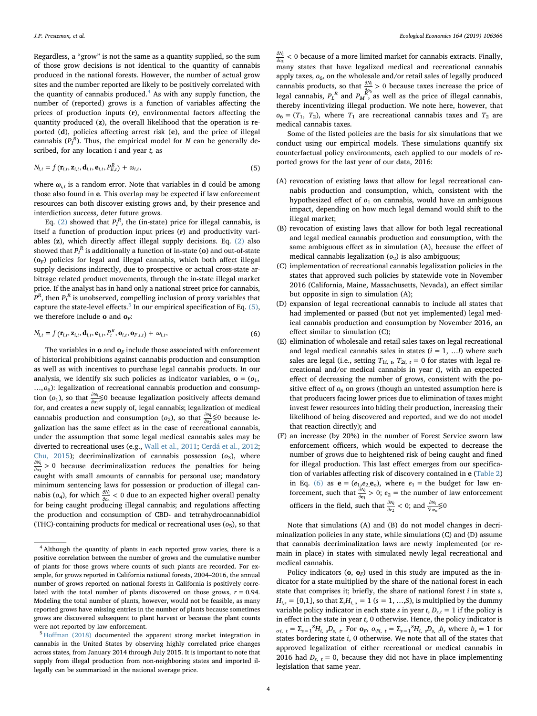Regardless, a "grow" is not the same as a quantity supplied, so the sum of those grow decisions is not identical to the quantity of cannabis produced in the national forests. However, the number of actual grow sites and the number reported are likely to be positively correlated with the quantity of cannabis produced. $4$  As with any supply function, the number of (reported) grows is a function of variables affecting the prices of production inputs (r), environmental factors affecting the quantity produced (z), the overall likelihood that the operation is reported (d), policies affecting arrest risk (e), and the price of illegal cannabis  $(P_I^R)$ . Thus, the empirical model for N can be generally described, for any location  $i$  and year  $t$ , as

<span id="page-3-2"></span>
$$
N_{i,t} = f(\mathbf{r}_{i,t}, \mathbf{z}_{i,t}, \mathbf{d}_{i,t}, \mathbf{e}_{i,t}, P_{li,t}^R) + \omega_{i,t},
$$
\n(5)

where  $\omega_{i,t}$  is a random error. Note that variables in **d** could be among those also found in e. This overlap may be expected if law enforcement resources can both discover existing grows and, by their presence and interdiction success, deter future grows.

Eq. [\(2\)](#page-2-2) showed that  $P_I^R$ , the (in-state) price for illegal cannabis, is itself a function of production input prices (r) and productivity variables (z), which directly affect illegal supply decisions. Eq. [\(2\)](#page-2-2) also showed that  $P_I^{\ R}$  is additionally a function of in-state (**o**) and out-of-state  $(o_F)$  policies for legal and illegal cannabis, which both affect illegal supply decisions indirectly, due to prospective or actual cross-state arbitrage related product movements, through the in-state illegal market price. If the analyst has in hand only a national street price for cannabis,  $P^R$ , then  $P_I^R$  is unobserved, compelling inclusion of proxy variables that capture the state-level effects.<sup>[5](#page-3-1)</sup> In our empirical specification of Eq.  $(5)$ , we therefore include **o** and  $\mathbf{o}_F$ :

<span id="page-3-3"></span>
$$
N_{i,t} = f(\mathbf{r}_{i,t}, \mathbf{z}_{i,t}, \mathbf{d}_{i,t}, \mathbf{e}_{i,t}, P_t^R, \mathbf{o}_{i,t}, \mathbf{o}_{F,i,t}) + \omega_{i,t},
$$
\n(6)

The variables in  $\mathbf o$  and  $\mathbf o_F$  include those associated with enforcement of historical prohibitions against cannabis production and consumption as well as with incentives to purchase legal cannabis products. In our analysis, we identify six such policies as indicator variables,  $\mathbf{o} = (o_1, o_2)$  $..., o<sub>6</sub>$ ): legalization of recreational cannabis production and consumption (o<sub>1</sub>), so that  $\frac{\partial N_i}{\partial o_1}$   $\leq$  0 because legalization positively affects demand for, and creates a new supply of, legal cannabis; legalization of medical cannabis production and consumption ( $o_2$ ), so that  $\frac{\partial N_i}{\partial o_2}$  SO because legalization has the same effect as in the case of recreational cannabis, under the assumption that some legal medical cannabis sales may be diverted to recreational uses (e.g., [Wall et al., 2011;](#page-12-7) [Cerdá et al., 2012](#page-11-29); [Chu, 2015](#page-11-30)); decriminalization of cannabis possession  $(o_3)$ , where  $\frac{\partial N_i}{\partial \sigma_3} > 0$  because decriminalization reduces the penalties for being caught with small amounts of cannabis for personal use; mandatory minimum sentencing laws for possession or production of illegal cannabis ( $o_4$ ), for which  $\frac{\partial N_l}{\partial o_4} < 0$  due to an expected higher overall penalty for being caught producing illegal cannabis; and regulations affecting the production and consumption of CBD- and tetrahydrocannabidiol (THC)-containing products for medical or recreational uses  $(o<sub>5</sub>)$ , so that

 $\frac{\partial N_i}{\partial o_5}$  < 0 because of a more limited market for cannabis extracts. Finally, many states that have legalized medical and recreational cannabis apply taxes,  $o_6$ , on the wholesale and/or retail sales of legally produced cannabis products, so that  $\frac{\partial N_i}{\partial \rho_6} > 0$  because taxes increase the price of legal cannabis,  $P_L^R$  and  $P_M^R$ , as well as the price of illegal cannabis, thereby incentivizing illegal production. We note here, however, that  $o_6 = (T_1, T_2)$ , where  $T_1$  are recreational cannabis taxes and  $T_2$  are medical cannabis taxes.

Some of the listed policies are the basis for six simulations that we conduct using our empirical models. These simulations quantify six counterfactual policy environments, each applied to our models of reported grows for the last year of our data, 2016:

- (A) revocation of existing laws that allow for legal recreational cannabis production and consumption, which, consistent with the hypothesized effect of  $o_1$  on cannabis, would have an ambiguous impact, depending on how much legal demand would shift to the illegal market;
- (B) revocation of existing laws that allow for both legal recreational and legal medical cannabis production and consumption, with the same ambiguous effect as in simulation (A), because the effect of medical cannabis legalization  $(o_2)$  is also ambiguous;
- (C) implementation of recreational cannabis legalization policies in the states that approved such policies by statewide vote in November 2016 (California, Maine, Massachusetts, Nevada), an effect similar but opposite in sign to simulation (A);
- (D) expansion of legal recreational cannabis to include all states that had implemented or passed (but not yet implemented) legal medical cannabis production and consumption by November 2016, an effect similar to simulation (C);
- (E) elimination of wholesale and retail sales taxes on legal recreational and legal medical cannabis sales in states  $(i = 1, ... I)$  where such sales are legal (i.e., setting  $T_{1i, t}$ ,  $T_{2i, t} = 0$  for states with legal recreational and/or medical cannabis in year  $t$ ), with an expected effect of decreasing the number of grows, consistent with the positive effect of  $o<sub>6</sub>$  on grows (though an untested assumption here is that producers facing lower prices due to elimination of taxes might invest fewer resources into hiding their production, increasing their likelihood of being discovered and reported, and we do not model that reaction directly); and
- (F) an increase (by 20%) in the number of Forest Service sworn law enforcement officers, which would be expected to decrease the number of grows due to heightened risk of being caught and fined for illegal production. This last effect emerges from our specification of variables affecting risk of discovery contained in e [\(Table 2\)](#page-4-0) in Eq. [\(6\)](#page-3-3) as  $e = (e_1,e_2,e_0)$ , where  $e_1$  = the budget for law enforcement, such that  $\frac{\partial N_i}{\partial \mathbf{e}_1} > 0$ ;  $e_2 =$  the number of law enforcement officers in the field, such that  $\frac{\partial N_i}{\partial e_2} < 0$ ; and  $\frac{\partial N_i}{\nabla \mathbf{e}_0} \leq 0$

Note that simulations (A) and (B) do not model changes in decriminalization policies in any state, while simulations (C) and (D) assume that cannabis decriminalization laws are newly implemented (or remain in place) in states with simulated newly legal recreational and medical cannabis.

Policy indicators ( $\mathbf{o}, \mathbf{o}_F$ ) used in this study are imputed as the indicator for a state multiplied by the share of the national forest in each state that comprises it; briefly, the share of national forest  $i$  in state  $s$ ,  $H_{i,s} = [0,1]$ , so that  $\Sigma_s H_{i,s} = 1$  (s = 1, ...,S), is multiplied by the dummy variable policy indicator in each state s in year t,  $D_{s,t} = 1$  if the policy is in effect in the state in year t, 0 otherwise. Hence, the policy indicator is  $o_i$ ,  $t = \sum_{s=1}^{S} H_{i_s} D_{s_s} t$ . For  $\mathbf{o}_F$ ,  $o_{F_i} t = \sum_{s=1}^{S} H_{i_s} D_{s_s} t$ , where  $b_s = 1$  for states bordering state i, 0 otherwise. We note that all of the states that approved legalization of either recreational or medical cannabis in 2016 had  $D_{s, t} = 0$ , because they did not have in place implementing legislation that same year.

<span id="page-3-0"></span><sup>4</sup> Although the quantity of plants in each reported grow varies, there is a positive correlation between the number of grows and the cumulative number of plants for those grows where counts of such plants are recorded. For example, for grows reported in California national forests, 2004–2016, the annual number of grows reported on national forests in California is positively correlated with the total number of plants discovered on those grows,  $r = 0.94$ . Modeling the total number of plants, however, would not be feasible, as many reported grows have missing entries in the number of plants because sometimes grows are discovered subsequent to plant harvest or because the plant counts were not reported by law enforcement.

<span id="page-3-1"></span><sup>5</sup> Hoff[man \(2018\)](#page-11-31) documented the apparent strong market integration in cannabis in the United States by observing highly correlated price changes across states, from January 2014 through July 2015. It is important to note that supply from illegal production from non-neighboring states and imported illegally can be summarized in the national average price.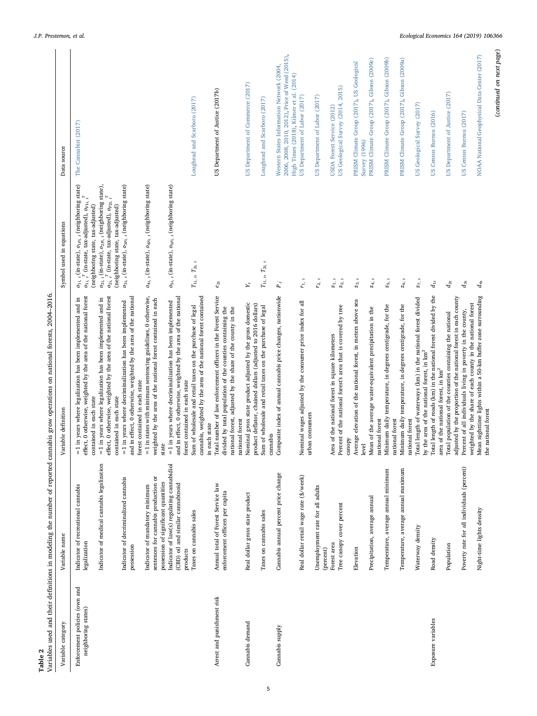<span id="page-4-0"></span>

| Table 2                                              |                                                                                                                                                                                                   | Variables used and their definitions in modeling the number of reported cannabis grow operations on national forests, 2004-2016                                                                                                                                                                                                                                                                                                                                                                   |                                                                                                                                                                                                                                                                                                                                                                                                                                           |                                                                                                                                        |
|------------------------------------------------------|---------------------------------------------------------------------------------------------------------------------------------------------------------------------------------------------------|---------------------------------------------------------------------------------------------------------------------------------------------------------------------------------------------------------------------------------------------------------------------------------------------------------------------------------------------------------------------------------------------------------------------------------------------------------------------------------------------------|-------------------------------------------------------------------------------------------------------------------------------------------------------------------------------------------------------------------------------------------------------------------------------------------------------------------------------------------------------------------------------------------------------------------------------------------|----------------------------------------------------------------------------------------------------------------------------------------|
| Variable category                                    | Variable name                                                                                                                                                                                     | Variable definition                                                                                                                                                                                                                                                                                                                                                                                                                                                                               | Symbol used in equations                                                                                                                                                                                                                                                                                                                                                                                                                  | Data source                                                                                                                            |
| Enforcement policies (own and<br>neighboring states) | Indicator of medical cannabis legalization<br>Indicator of decriminalized cannabis<br>Indicator of recreational cannabis<br>legalization<br>possession                                            | effect, 0 otherwise, weighted by the area of the national forest<br>effect, 0 otherwise, weighted by the area of the national forest<br>and in effect, 0 otherwise, weighted by the area of the national<br>$= 1$ in years where legalization has been implemented and in<br>$=$ 1 in years where legalization has been implemented and in<br>$=$ 1 in years where decriminalization has been implemented<br>forest contained in each state<br>contained in each state<br>contained in each state | $o_{1Fi,~t}$ (neighboring state)<br>$o_{3i,~t}$ (in-state), $o_{3Fi,~t}$ (neighboring state)<br>$o_{2i, t}$ (in-state), $o_{2Fi, t}$ (neighboring state),<br>$o_{2i, t}$ <sup>T</sup> (in-state, tax-adjusted), $o_{P2i, t}$ <sup>T</sup><br>$o_{1i, t}$ <sup>T</sup> (in-state, tax-adjusted), $o_{F1i, t}$ <sup>T</sup><br>(neighboring state, tax-adjusted)<br>(neighboring state, tax-adjusted)<br>$o_{1i,~\mathfrak{e}}$ (in-state), | The Cannabist (2017)                                                                                                                   |
|                                                      | Indicator of law(s) regulating cannabidiol<br>sentences for cannabis production or<br>possession of significant quantities<br>(CBD) oil and similar cannabinoid<br>Indicator of mandatory minimum | $=$ 1 in states with minimum sentencing guidelines, 0 otherwise,<br>and in effect, 0 otherwise, weighted by the area of the national<br>weighted by the area of the national forest contained in each<br>$=$ 1 in years where decriminalization has been implemented<br>state                                                                                                                                                                                                                     | $o_{4i, t}$ (in-state), $o_{4Fi, t}$ (neighboring state)<br>$o_{5i,~t}$ (in-state), $o_{5Fi,~t}$ (neighboring state)                                                                                                                                                                                                                                                                                                                      |                                                                                                                                        |
|                                                      | Taxes on cannabis sales<br>products                                                                                                                                                               | cannabis, weighted by the area of the national forest contained<br>Sum of wholesale and retail taxes on the purchase of legal<br>forest contained in each state                                                                                                                                                                                                                                                                                                                                   | $T_{1i, \ b}$ $T_{2i, \ t}$                                                                                                                                                                                                                                                                                                                                                                                                               | Loughead and Scarboro (2017)                                                                                                           |
| Arrest and punishment risk                           | Annual total of Forest Service law<br>enforcement officers per capita                                                                                                                             | in each state<br>Total number of law enforcement officers in the Forest Service<br>divided by total population of the counties containing the<br>national forest, adjusted by the share of the county in the<br>national forest                                                                                                                                                                                                                                                                   | $e_{2t}$                                                                                                                                                                                                                                                                                                                                                                                                                                  | US Department of Justice (2017b)                                                                                                       |
| Cannabis demand                                      | Real dollar gross state product                                                                                                                                                                   | Nominal gross state product adjusted by the gross domestic                                                                                                                                                                                                                                                                                                                                                                                                                                        | $\mathbf{y}_t$                                                                                                                                                                                                                                                                                                                                                                                                                            | US Department of Commerce (2017)                                                                                                       |
|                                                      | Taxes on cannabis sales                                                                                                                                                                           | product deflator, chained dollars (adjusted to 2016 dollars)<br>Sum of wholesale and retail taxes on the purchase of legal                                                                                                                                                                                                                                                                                                                                                                        | $T_{1i, \ b}$ $T_{2i, \ t}$                                                                                                                                                                                                                                                                                                                                                                                                               | Loughead and Scarboro (2017)                                                                                                           |
| Cannabis supply                                      | Cannabis annual percent price change                                                                                                                                                              | cannabis<br>Composite index of annual cannabis price changes, nationwide                                                                                                                                                                                                                                                                                                                                                                                                                          | $\mathbf{P}_t$                                                                                                                                                                                                                                                                                                                                                                                                                            | 2006, 2008, 2010, 2012), Price of Weed (2015),<br>Western States Information Network (2004,<br>High Times (2018), Kilmer et al. (2014) |
|                                                      | Real dollar retail wage rate (\$/week)                                                                                                                                                            | Nominal wages adjusted by the consumer price index for all urban consumers                                                                                                                                                                                                                                                                                                                                                                                                                        | $r_{1, t}$                                                                                                                                                                                                                                                                                                                                                                                                                                | US Department of Labor (2017)                                                                                                          |
|                                                      | Unemployment rate for all adults<br>(percent)                                                                                                                                                     |                                                                                                                                                                                                                                                                                                                                                                                                                                                                                                   | $r_{2, t}$                                                                                                                                                                                                                                                                                                                                                                                                                                | US Department of Labor (2017)                                                                                                          |
|                                                      | Tree canopy cover percent<br>Forest area                                                                                                                                                          | Area of the national forest in square kilometers<br>Percent of the national forest's area that is covered by tree                                                                                                                                                                                                                                                                                                                                                                                 | $z_1$ , t<br>$\mathbf{z}_2$ ,                                                                                                                                                                                                                                                                                                                                                                                                             | US Geological Survey (2014, 2015)<br>USDA Forest Service (2012)                                                                        |
|                                                      | Elevation                                                                                                                                                                                         | Average elevation of the national forest, in meters above sea<br>canopy<br>level                                                                                                                                                                                                                                                                                                                                                                                                                  | $z_3$ , t                                                                                                                                                                                                                                                                                                                                                                                                                                 | PRISM Climate Group (2017), US Geological<br>Survey (1996)                                                                             |
|                                                      | Precipitation, average annual                                                                                                                                                                     | Mean of the average water-equivalent precipitation in the<br>national forest                                                                                                                                                                                                                                                                                                                                                                                                                      | $z_4$ , $t$                                                                                                                                                                                                                                                                                                                                                                                                                               | PRISM Climate Group (2017), Gibson (2009c)                                                                                             |
|                                                      | Temperature, average annual minimum                                                                                                                                                               | Minimum daily temperature, in degrees centigrade, for the<br>national forest                                                                                                                                                                                                                                                                                                                                                                                                                      | $z_{5, t}$                                                                                                                                                                                                                                                                                                                                                                                                                                | PRISM Climate Group (2017), Gibson (2009b)                                                                                             |
|                                                      | Temperature, average annual maximum                                                                                                                                                               | Minimum daily temperature, in degrees centigrade, for the<br>national forest                                                                                                                                                                                                                                                                                                                                                                                                                      | $\mathbf{z}_{6,~t}$                                                                                                                                                                                                                                                                                                                                                                                                                       | PRISM Climate Group (2017), Gibson (2009a)                                                                                             |
|                                                      | Waterway density                                                                                                                                                                                  | otal length of waterways (km) in the national forest divided<br>by the area of the national forest, in $\rm km^2$<br>F                                                                                                                                                                                                                                                                                                                                                                            | $z_7$ , t                                                                                                                                                                                                                                                                                                                                                                                                                                 | US Geological Survey (2017)                                                                                                            |
| Exposure variables                                   | Road density                                                                                                                                                                                      | Total length of roads (km) in the national forest divided by the<br>area of the national forest, in km <sup>2</sup>                                                                                                                                                                                                                                                                                                                                                                               | $d_{1t}$                                                                                                                                                                                                                                                                                                                                                                                                                                  | US Census Bureau (2016)                                                                                                                |
|                                                      | Population                                                                                                                                                                                        | otal population of the counties containing the national<br>۴                                                                                                                                                                                                                                                                                                                                                                                                                                      | $d_{2t}$                                                                                                                                                                                                                                                                                                                                                                                                                                  | US Department of Justice (2017)                                                                                                        |
|                                                      | Poverty rate for all individuals (percent)                                                                                                                                                        | adjusted by the proportion of the national forest in each county<br>Percent of all individuals living in poverty in the county,                                                                                                                                                                                                                                                                                                                                                                   | $d_{3t}$                                                                                                                                                                                                                                                                                                                                                                                                                                  | US Census Bureau (2017)                                                                                                                |
|                                                      | Night-time lights density                                                                                                                                                                         | Mean nighttime lights within a 50-km buffer zone surrounding<br>weighted by the share of each county in the national forest<br>the national forest                                                                                                                                                                                                                                                                                                                                                | $d_{4t}$                                                                                                                                                                                                                                                                                                                                                                                                                                  | NOAA National Geophysical Data Center (2017)                                                                                           |

(continued on next page)

 $\left( {continued\ on\ next\ page} \right)$ 

5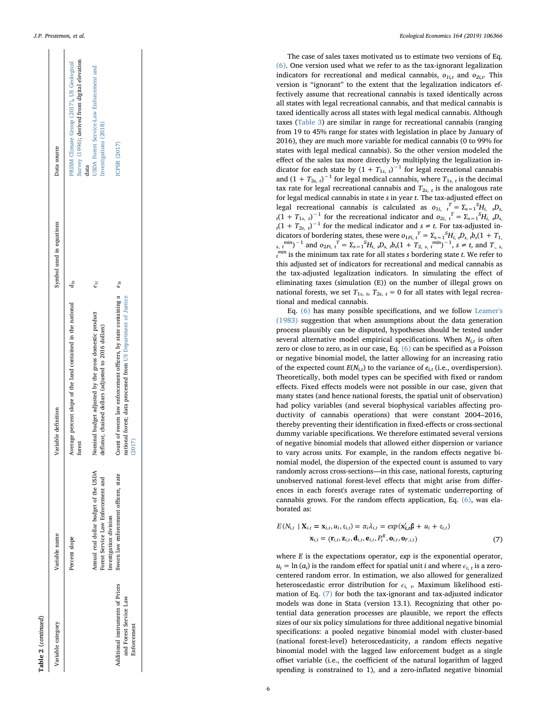| Variable category                                                         | Variable name                                                                                         | Variable definition                                                                                                                       | Symbol used in equations | Data source                                                                                        |
|---------------------------------------------------------------------------|-------------------------------------------------------------------------------------------------------|-------------------------------------------------------------------------------------------------------------------------------------------|--------------------------|----------------------------------------------------------------------------------------------------|
|                                                                           | Percent slope                                                                                         | Average percent slope of the land contained in the national<br>forest                                                                     | $d_{5t}$                 | Survey (1996); derived from digital elevation<br>PRISM Climate Group (2017), US Geological<br>data |
|                                                                           | Annual real dollar budget of the USDA<br>Forest Service Law Enforcement and<br>Investigation division | Nominal budget adjusted by the gross domestic product<br>deflator, chained dollars (adjusted to 2016 dollars)                             | $e_{1t}$                 | <b>JSDA</b> Forest Service-Law Enforcement and<br>Investigations (2018)                            |
| Additional instruments of Prices<br>and Forest Service Law<br>Enforcement | Swom law enforcement officers, state                                                                  | Count of sworn law enforcement officers, by state containing a<br>national forest; data processed from US Department of Justice<br>(2017) | $e_{3t}$                 | ICPSR (2017)                                                                                       |
|                                                                           |                                                                                                       |                                                                                                                                           |                          |                                                                                                    |

Table 2 (continued)

(continued)

The case of sales taxes motivated us to estimate two versions of Eq. [\(6\)](#page-3-3). One version used what we refer to as the tax-ignorant legalization indicators for recreational and medical cannabis,  $o_{1i,t}$  and  $o_{2i,t}$ . This version is "ignorant " to the extent that the legalization indicators effectively assume that recreational cannabis is taxed identically across all states with legal recreational cannabis, and that medical cannabis is taxed identically across all states with legal medical cannabis. Although taxes [\(Table 3](#page-6-0)) are similar in range for recreational cannabis (ranging from 19 to 45% range for states with legislation in place by January of 2016), they are much more variable for medical cannabis (0 to 99% for states with legal medical cannabis). So the other version modeled the effect of the sales tax more directly by multiplying the legalization indicator for each state by  $(1 + T_{1s, t})^{-1}$  for legal recreational cannabis and  $(1 + T_{2s, t})^{-1}$  for legal medical cannabis, where  $T_{1s, t}$  is the decimal tax rate for legal recreational cannabis and  $T_{2s, t}$  is the analogous rate for legal medical cannabis in state s in year t. The tax-adjusted effect on legal recreational cannabis is calculated as  $o_{1i}$ ,  $t^T = \sum_{s=1}^{S} H_{i}$ ,  $sD_s$ ,  $t(1 + T_{1s}, t)^{-1}$  for the recreational indicator and  $o_{2i}$ ,  $t^T = \sum_{s=1}^{S} H_{i}$ ,  $sD_s$ ,  $t(1 + T_{2s}, t)^{-1}$  for the medical indicator and dicators of bordering states, these were  $o_{1Fi, t}^{T} = \sum_{s=1}^{S} H_{i, s} D_{s, t} b_{s} (1 + T_{1, t})$  $\sum_{s,t}$   $\sum_{s}$  and  $\sum_{s=1}$   $T = \sum_{s=1}^{S} H_{i,s} D_{s,t} b_{s} (1 + T_{2,s,t}$   $\sum_{s}$   $\sum_{t}$  and  $T_{i,s}$  $t$ <sup>min</sup> is the minimum tax rate for all states *s* bordering state *t*. We refer to this adjusted set of indicators for recreational and medical cannabis as the tax-adjusted legalization indicators. In simulating the e ffect of eliminating taxes (simulation (E)) on the number of illegal grows on national forests, we set  $T_{1s, b}$ ,  $T_{2s, t} = 0$  for all states with legal recreational and medical cannabis.

Eq. [\(6\)](#page-3-3) has many possible speci fications, and we follow [Leamer's](#page-11-41) [\(1983\)](#page-11-41) suggestion that when assumptions about the data generation process plausibly can be disputed, hypotheses should be tested under several alternative model empirical specifications. When  $N_{i,t}$  is often zero or close to zero, as in our case, Eq. [\(6\)](#page-3-3) can be speci fied as a Poisson or negative binomial model, the latter allowing for an increasing ratio of the expected count  $E(N_{i,t})$  to the variance of  $e_{i,t}$  (i.e., overdispersion). Theoretically, both model types can be speci fied with fixed or random e ffects. Fixed e ffects models were not possible in our case, given that many states (and hence national forests, the spatial unit of observation) had policy variables (and several biophysical variables a ffecting productivity of cannabis operations) that were constant 2004–2016, thereby preventing their identi fication in fixed-e ffects or cross-sectional dummy variable speci fications. We therefore estimated several versions of negative binomial models that allowed either dispersion or variance to vary across units. For example, in the random e ffects negative binomial model, the dispersion of the expected count is assumed to vary randomly across cross-sections —in this case, national forests, capturing unobserved national forest-level e ffects that might arise from di fferences in each forest's average rates of systematic underreporting of cannabis grows. For the random e ffects application, Eq. [\(6\),](#page-3-3) was elaborated as:

<span id="page-5-0"></span>
$$
E(N_{i,t} \mid \mathbf{X}_{i,t} = \mathbf{x}_{i,t}, u_i, \epsilon_{i,t}) = \alpha_i \lambda_{i,t} = \exp(\mathbf{x}'_{i,t} \boldsymbol{\beta} + u_i + \epsilon_{i,t})
$$

$$
\mathbf{x}_{i,t} = (\mathbf{r}_{i,t}, \mathbf{z}_{i,t}, \mathbf{d}_{i,t}, \mathbf{e}_{i,t}, P_t^R, \mathbf{o}_{i,t}, \mathbf{o}_{F,i,t})
$$
(7)

where  $E$  is the expectations operator,  $exp$  is the exponential operator,  $u_i = \ln(\alpha_i)$  is the random effect for spatial unit *i* and where  $\epsilon_{i,t}$  is a zerocentered random error. In estimation, we also allowed for generalized heteroscedastic error distribution for  $\epsilon_{i,t}$ . Maximum likelihood estimation of Eq. [\(7\)](#page-5-0) for both the tax-ignorant and tax-adjusted indicator models was done in Stata (version 13.1). Recognizing that other potential data generation processes are plausible, we report the effects sizes of our six policy simulations for three additional negative binomial speci fications: a pooled negative binomial model with cluster-based (national forest-level) heteroscedasticity, a random e ffects negative binomial model with the lagged law enforcement budget as a single offset variable (i.e., the coefficient of the natural logarithm of lagged spending is constrained to 1), and a zero-in flated negative binomial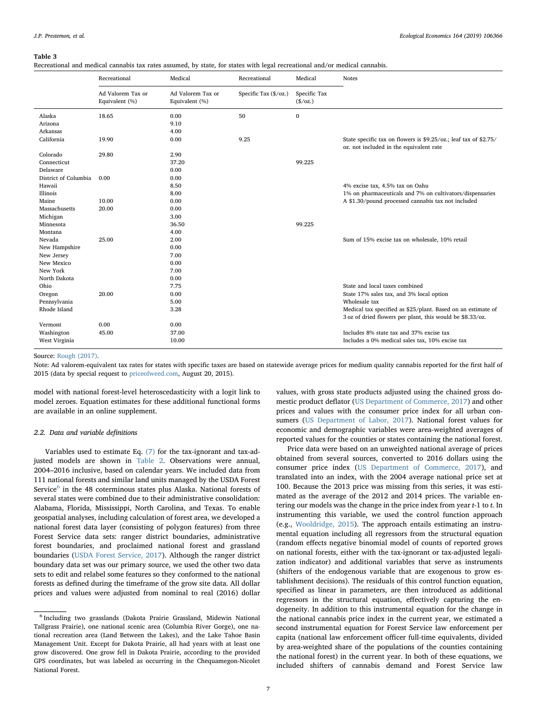<span id="page-6-0"></span>Recreational and medical cannabis tax rates assumed, by state, for states with legal recreational and/or medical cannabis.

|                      | Recreational                        | Medical                             | Recreational          | Medical                    | <b>Notes</b>                                                                                                |
|----------------------|-------------------------------------|-------------------------------------|-----------------------|----------------------------|-------------------------------------------------------------------------------------------------------------|
|                      | Ad Valorem Tax or<br>Equivalent (%) | Ad Valorem Tax or<br>Equivalent (%) | Specific Tax (\$/oz.) | Specific Tax<br>$(\$/oz.)$ |                                                                                                             |
| Alaska               | 18.65                               | 0.00                                | 50                    | $\mathbf{0}$               |                                                                                                             |
| Arizona              |                                     | 9.10                                |                       |                            |                                                                                                             |
| Arkansas             |                                     | 4.00                                |                       |                            |                                                                                                             |
| California           | 19.90                               | 0.00                                | 9.25                  |                            | State specific tax on flowers is \$9.25/oz.; leaf tax of \$2.75/<br>oz. not included in the equivalent rate |
| Colorado             | 29.80                               | 2.90                                |                       |                            |                                                                                                             |
| Connecticut          |                                     | 37.20                               |                       | 99.225                     |                                                                                                             |
| Delaware             |                                     | 0.00                                |                       |                            |                                                                                                             |
| District of Columbia | 0.00                                | 0.00                                |                       |                            |                                                                                                             |
| Hawaii               |                                     | 8.50                                |                       |                            | 4% excise tax, 4.5% tax on Oahu                                                                             |
| Illinois             |                                     | 8.00                                |                       |                            | 1% on pharmaceuticals and 7% on cultivators/dispensaries                                                    |
| Maine                | 10.00                               | 0.00                                |                       |                            | A \$1.30/pound processed cannabis tax not included                                                          |
| Massachusetts        | 20.00                               | 0.00                                |                       |                            |                                                                                                             |
| Michigan             |                                     | 3.00                                |                       |                            |                                                                                                             |
| Minnesota            |                                     | 36.50                               |                       | 99.225                     |                                                                                                             |
| Montana              |                                     | 4.00                                |                       |                            |                                                                                                             |
| Nevada               | 25.00                               | 2.00                                |                       |                            | Sum of 15% excise tax on wholesale, 10% retail                                                              |
| New Hampshire        |                                     | 0.00                                |                       |                            |                                                                                                             |
| New Jersey           |                                     | 7.00                                |                       |                            |                                                                                                             |
| New Mexico           |                                     | 0.00                                |                       |                            |                                                                                                             |
| New York             |                                     | 7.00                                |                       |                            |                                                                                                             |
| North Dakota         |                                     | 0.00                                |                       |                            |                                                                                                             |
| Ohio                 |                                     | 7.75                                |                       |                            | State and local taxes combined                                                                              |
| Oregon               | 20.00                               | 0.00                                |                       |                            | State 17% sales tax, and 3% local option                                                                    |
| Pennsylvania         |                                     | 5.00                                |                       |                            | Wholesale tax                                                                                               |
| Rhode Island         |                                     | 3.28                                |                       |                            | Medical tax specified as \$25/plant. Based on an estimate of                                                |
|                      |                                     |                                     |                       |                            | 3 oz of dried flowers per plant, this would be \$8.33/oz.                                                   |
| Vermont              | 0.00                                | 0.00                                |                       |                            |                                                                                                             |
| Washington           | 45.00                               | 37.00                               |                       |                            | Includes 8% state tax and 37% excise tax                                                                    |
| West Virginia        |                                     | 10.00                               |                       |                            | Includes a 0% medical sales tax, 10% excise tax                                                             |
|                      |                                     |                                     |                       |                            |                                                                                                             |

#### Source: [Rough \(2017\).](#page-11-43)

Note: Ad valorem-equivalent tax rates for states with specific taxes are based on statewide average prices for medium quality cannabis reported for the first half of 2015 (data by special request to [priceofweed.com,](http://priceofweed.com) August 20, 2015).

model with national forest-level heteroscedasticity with a logit link to model zeroes. Equation estimates for these additional functional forms are available in an online supplement.

## 2.2. Data and variable definitions

Variables used to estimate Eq. [\(7\)](#page-5-0) for the tax-ignorant and tax-adjusted models are shown in [Table 2.](#page-4-0) Observations were annual, 2004–2016 inclusive, based on calendar years. We included data from 111 national forests and similar land units managed by the USDA Forest Service<sup>[6](#page-6-1)</sup> in the 48 coterminous states plus Alaska. National forests of several states were combined due to their administrative consolidation: Alabama, Florida, Mississippi, North Carolina, and Texas. To enable geospatial analyses, including calculation of forest area, we developed a national forest data layer (consisting of polygon features) from three Forest Service data sets: ranger district boundaries, administrative forest boundaries, and proclaimed national forest and grassland boundaries ([USDA Forest Service, 2017\)](#page-12-20). Although the ranger district boundary data set was our primary source, we used the other two data sets to edit and relabel some features so they conformed to the national forests as defined during the timeframe of the grow site data. All dollar prices and values were adjusted from nominal to real (2016) dollar

values, with gross state products adjusted using the chained gross domestic product deflator ([US Department of Commerce, 2017\)](#page-12-9) and other prices and values with the consumer price index for all urban consumers [\(US Department of Labor, 2017\)](#page-12-11). National forest values for economic and demographic variables were area-weighted averages of reported values for the counties or states containing the national forest.

Price data were based on an unweighted national average of prices obtained from several sources, converted to 2016 dollars using the consumer price index ([US Department of Commerce, 2017](#page-12-9)), and translated into an index, with the 2004 average national price set at 100. Because the 2013 price was missing from this series, it was estimated as the average of the 2012 and 2014 prices. The variable entering our models was the change in the price index from year t-1 to t. In instrumenting this variable, we used the control function approach (e.g., [Wooldridge, 2015\)](#page-12-21). The approach entails estimating an instrumental equation including all regressors from the structural equation (random effects negative binomial model of counts of reported grows on national forests, either with the tax-ignorant or tax-adjusted legalization indicator) and additional variables that serve as instruments (shifters of the endogenous variable that are exogenous to grow establishment decisions). The residuals of this control function equation, specified as linear in parameters, are then introduced as additional regressors in the structural equation, effectively capturing the endogeneity. In addition to this instrumental equation for the change in the national cannabis price index in the current year, we estimated a second instrumental equation for Forest Service law enforcement per capita (national law enforcement officer full-time equivalents, divided by area-weighted share of the populations of the counties containing the national forest) in the current year. In both of these equations, we included shifters of cannabis demand and Forest Service law

<span id="page-6-1"></span><sup>6</sup> Including two grasslands (Dakota Prairie Grassland, Midewin National Tallgrass Prairie), one national scenic area (Columbia River Gorge), one national recreation area (Land Between the Lakes), and the Lake Tahoe Basin Management Unit. Except for Dakota Prairie, all had years with at least one grow discovered. One grow fell in Dakota Prairie, according to the provided GPS coordinates, but was labeled as occurring in the Chequamegon-Nicolet National Forest.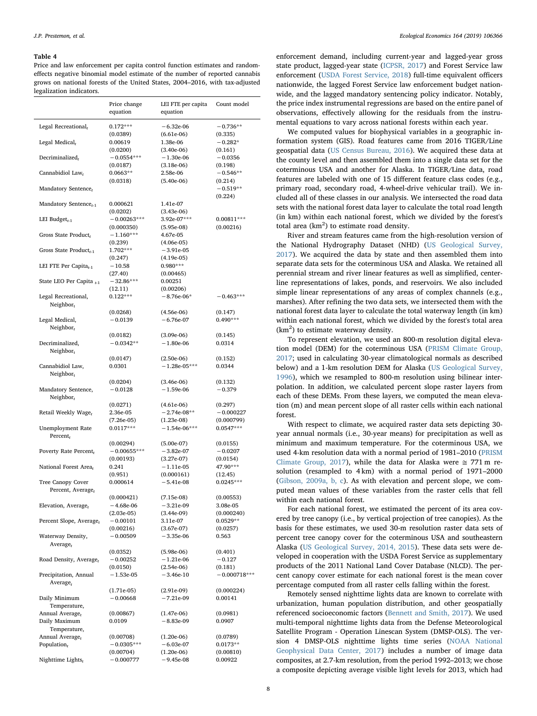<span id="page-7-0"></span>Price and law enforcement per capita control function estimates and randomeffects negative binomial model estimate of the number of reported cannabis grows on national forests of the United States, 2004–2016, with tax-adjusted legalization indicators.

|                                                    | Price change<br>equation  | LEI FTE per capita<br>equation | Count model           |
|----------------------------------------------------|---------------------------|--------------------------------|-----------------------|
| Legal Recreational $t$                             | $0.172***$                | $-6.32e-06$                    | $-0.736**$            |
| Legal Medical <sub>t</sub>                         | (0.0389)<br>0.00619       | $(6.61e-06)$<br>1.38e-06       | (0.335)<br>$-0.282*$  |
|                                                    | (0.0200)                  | $(3.40e-06)$                   | (0.161)               |
| Decriminalized $_t$                                | $-0.0554***$              | $-1.30e-06$                    | $-0.0356$             |
|                                                    | (0.0187)                  | $(3.18e-06)$                   | (0.198)               |
| Cannabidiol Law $_t$                               | $0.0663**$<br>(0.0318)    | 2.58e-06<br>$(5.40e-06)$       | $-0.546**$<br>(0.214) |
| Mandatory Sentence,                                |                           |                                | $-0.519**$            |
|                                                    |                           |                                | (0.224)               |
| Mandatory Sentence <sub>t-1</sub>                  | 0.000621                  | 1.41e-07                       |                       |
|                                                    | (0.0202)<br>$-0.00263***$ | $(3.43e-06)$<br>3.92e-07***    | $0.00811***$          |
| LEI Budget $_{t-1}$                                | (0.000350)                | $(5.95e-08)$                   | (0.00216)             |
| Gross State Product,                               | $-1.160***$               | 4.67e-05                       |                       |
|                                                    | (0.239)                   | $(4.06e-05)$                   |                       |
| Gross State Product <sub>t-1</sub>                 | $1.702***$                | $-3.91e-05$                    |                       |
| LEI FTE Per Capita $_{t-1}$                        | (0.247)<br>$-10.58$       | $(4.19e-05)$<br>$0.980***$     |                       |
|                                                    | (27.40)                   | (0.00465)                      |                       |
| State LEO Per Capita <sub>t-1</sub>                | $-32.86***$               | 0.00251                        |                       |
|                                                    | (12.11)                   | (0.00206)                      |                       |
| Legal Recreational,                                | $0.122***$                | $-8.76e-06*$                   | $-0.463***$           |
| $Neighbour_t$                                      | (0.0268)                  | $(4.56e-06)$                   | (0.147)               |
| Legal Medical,                                     | $-0.0139$                 | $-6.76e-07$                    | $0.490***$            |
| Neighbor $_{r}$                                    |                           |                                |                       |
|                                                    | (0.0182)                  | $(3.09e-06)$                   | (0.145)               |
| Decriminalized,                                    | $-0.0342**$               | $-1.80e-06$                    | 0.0314                |
| Neighbour <sub>r</sub>                             | (0.0147)                  | $(2.50e-06)$                   | (0.152)               |
| Cannabidiol Law,                                   | 0.0301                    | $-1.28e-05***$                 | 0.0344                |
| Neighbour <sub>r</sub>                             |                           |                                |                       |
|                                                    | (0.0204)                  | $(3.46e-06)$                   | (0.132)               |
| Mandatory Sentence,<br>Neighbor $_t$               | $-0.0128$                 | $-1.59e-06$                    | $-0.379$              |
|                                                    | (0.0271)                  | $(4.61e-06)$                   | (0.297)               |
| Retail Weekly Wage <sub>t</sub>                    | 2.36e-05                  | $-2.74e-08**$                  | $-0.000227$           |
|                                                    | $(7.26e-05)$              | $(1.23e-08)$                   | (0.000799)            |
| <b>Unemployment Rate</b>                           | $0.0117***$               | $-1.54e-06***$                 | $0.0547***$           |
| Percent $r$                                        | (0.00294)                 | $(5.00e-07)$                   | (0.0155)              |
| Poverty Rate Percent,                              | $-0.00655***$             | $-3.82e-07$                    | $-0.0207$             |
|                                                    | (0.00193)                 | $(3.27e-07)$                   | (0.0154)              |
| National Forest Area <sub>t</sub>                  | 0.241                     | $-1.11e-05$                    | 47.90***              |
|                                                    | (0.951)                   | (0.000161)                     | (12.45)               |
| Tree Canopy Cover<br>Percent, Average <sub>t</sub> | 0.000614                  | $-5.41e-08$                    | $0.0245***$           |
|                                                    | (0.000421)                | $(7.15e-08)$                   | (0.00553)             |
| Elevation, Average <sub>t</sub>                    | – 4.68e-06                | – 3.21e-09                     | 3.08e-05              |
|                                                    | $(2.03e-05)$              | $(3.44e-09)$                   | (0.000240)            |
| Percent Slope, Average,                            | $-0.00101$                | 3.11e-07                       | $0.0529**$            |
| Waterway Density,                                  | (0.00216)<br>$-0.00509$   | $(3.67e-07)$<br>$-3.35e-06$    | (0.0257)<br>0.563     |
| Average $t$                                        |                           |                                |                       |
|                                                    | (0.0352)                  | $(5.98e-06)$                   | (0.401)               |
| Road Density, Average,                             | $-0.00252$                | $-1.21e-06$                    | $-0.127$              |
|                                                    | (0.0150)                  | $(2.54e-06)$                   | (0.181)               |
| Precipitation, Annual<br>Average,                  | $-1.53e-05$               | $-3.46e-10$                    | $-0.000718***$        |
|                                                    | $(1.71e-05)$              | $(2.91e-09)$                   | (0.000224)            |
| Daily Minimum                                      | $-0.00668$                | $-7.21e-09$                    | 0.00141               |
| Temperature,                                       |                           |                                |                       |
| Annual Average,                                    | (0.00867)                 | $(1.47e-06)$                   | (0.0981)              |
| Daily Maximum<br>Temperature,                      | 0.0109                    | $-8.83e-09$                    | 0.0907                |
| Annual Average,                                    | (0.00708)                 | $(1.20e-06)$                   | (0.0789)              |
| Population $_{t}$                                  | $-0.0305***$              | $-6.03e-07$                    | $0.0173**$            |
|                                                    | (0.00704)                 | $(1.20e-06)$                   | (0.00810)             |
| Nighttime Lights <sub>t</sub>                      | $-0.000777$               | $-9.45e-08$                    | 0.00922               |

enforcement demand, including current-year and lagged-year gross state product, lagged-year state [\(ICPSR, 2017\)](#page-11-42) and Forest Service law enforcement [\(USDA Forest Service, 2018\)](#page-12-19) full-time equivalent officers nationwide, the lagged Forest Service law enforcement budget nationwide, and the lagged mandatory sentencing policy indicator. Notably, the price index instrumental regressions are based on the entire panel of observations, effectively allowing for the residuals from the instrumental equations to vary across national forests within each year.

We computed values for biophysical variables in a geographic information system (GIS). Road features came from 2016 TIGER/Line geospatial data ([US Census Bureau, 2016](#page-12-16)). We acquired these data at the county level and then assembled them into a single data set for the coterminous USA and another for Alaska. In TIGER/Line data, road features are labeled with one of 15 different feature class codes (e.g., primary road, secondary road, 4-wheel-drive vehicular trail). We included all of these classes in our analysis. We intersected the road data sets with the national forest data layer to calculate the total road length (in km) within each national forest, which we divided by the forest's total area  $(km<sup>2</sup>)$  to estimate road density.

River and stream features came from the high-resolution version of the National Hydrography Dataset (NHD) ([US Geological Survey,](#page-12-15) [2017\)](#page-12-15). We acquired the data by state and then assembled them into separate data sets for the coterminous USA and Alaska. We retained all perennial stream and river linear features as well as simplified, centerline representations of lakes, ponds, and reservoirs. We also included simple linear representations of any areas of complex channels (e.g., marshes). After refining the two data sets, we intersected them with the national forest data layer to calculate the total waterway length (in km) within each national forest, which we divided by the forest's total area  $(km<sup>2</sup>)$  to estimate waterway density.

To represent elevation, we used an 800-m resolution digital elevation model (DEM) for the coterminous USA [\(PRISM Climate Group,](#page-11-36) [2017;](#page-11-36) used in calculating 30-year climatological normals as described below) and a 1-km resolution DEM for Alaska [\(US Geological Survey,](#page-12-14) [1996\)](#page-12-14), which we resampled to 800-m resolution using bilinear interpolation. In addition, we calculated percent slope raster layers from each of these DEMs. From these layers, we computed the mean elevation (m) and mean percent slope of all raster cells within each national forest.

With respect to climate, we acquired raster data sets depicting 30 year annual normals (i.e., 30-year means) for precipitation as well as minimum and maximum temperature. For the coterminous USA, we used 4-km resolution data with a normal period of 1981–2010 [\(PRISM](#page-11-36) [Climate Group, 2017\)](#page-11-36), while the data for Alaska were  $\approx$  771 m resolution (resampled to 4 km) with a normal period of 1971–2000 ([Gibson, 2009a, b, c](#page-11-39)). As with elevation and percent slope, we computed mean values of these variables from the raster cells that fell within each national forest.

For each national forest, we estimated the percent of its area covered by tree canopy (i.e., by vertical projection of tree canopies). As the basis for these estimates, we used 30-m resolution raster data sets of percent tree canopy cover for the coterminous USA and southeastern Alaska [\(US Geological Survey, 2014, 2015](#page-12-13)). These data sets were developed in cooperation with the USDA Forest Service as supplementary products of the 2011 National Land Cover Database (NLCD). The percent canopy cover estimate for each national forest is the mean cover percentage computed from all raster cells falling within the forest.

Remotely sensed nighttime lights data are known to correlate with urbanization, human population distribution, and other geospatially referenced socioeconomic factors [\(Bennett and Smith, 2017\)](#page-11-44). We used multi-temporal nighttime lights data from the Defense Meteorological Satellite Program - Operation Linescan System (DMSP-OLS). The version 4 DMSP-OLS nighttime lights time series ([NOAA National](#page-11-40) [Geophysical Data Center, 2017\)](#page-11-40) includes a number of image data composites, at 2.7-km resolution, from the period 1992–2013; we chose a composite depicting average visible light levels for 2013, which had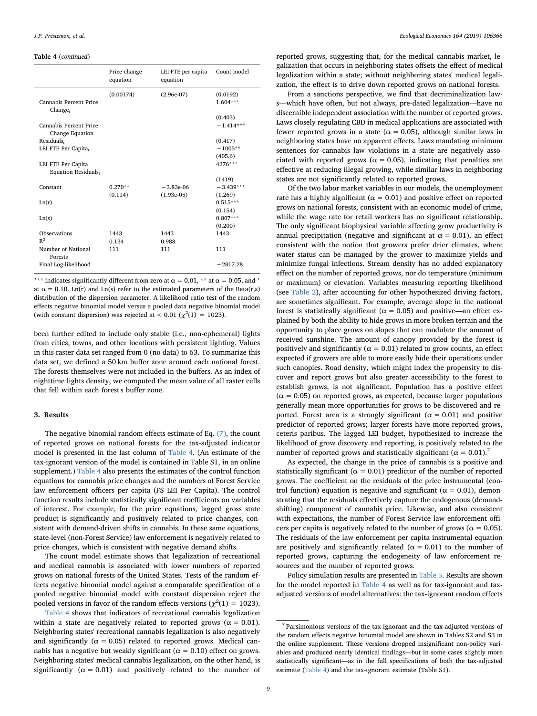## Table 4 (continued)

|                                           | Price change<br>equation | LEI FTE per capita<br>equation | Count model            |
|-------------------------------------------|--------------------------|--------------------------------|------------------------|
| Cannabis Percent Price<br>Change $_t$     | (0.00174)                | $(2.96e-07)$                   | (0.0192)<br>$1.604***$ |
|                                           |                          |                                | (0.403)                |
| Cannabis Percent Price<br>Change Equation |                          |                                | $-1.414***$            |
| Residuals,                                |                          |                                | (0.417)                |
| LEI FTE Per Capita <sub>t</sub>           |                          |                                | $-1005**$              |
|                                           |                          |                                | (405.6)                |
| LEI FTE Per Capita                        |                          |                                | 4276***                |
| Equation Residuals,                       |                          |                                |                        |
|                                           |                          |                                | (1419)                 |
| Constant                                  | $0.270**$                | $-3.83e-06$                    | $-3.439***$            |
|                                           | (0.114)                  | $(1.93e-05)$                   | (1.269)                |
| Ln(r)                                     |                          |                                | $0.515***$             |
|                                           |                          |                                | (0.154)                |
| Ln(s)                                     |                          |                                | $0.807***$             |
|                                           |                          |                                | (0.200)                |
| Observations                              | 1443                     | 1443                           | 1443                   |
| $R^2$                                     | 0.134                    | 0.988                          |                        |
| Number of National<br><b>Forests</b>      | 111                      | 111                            | 111                    |
| Final Log-likelihood                      |                          |                                | $-2817.28$             |

\*\*\* indicates significantly different from zero at  $\alpha = 0.01$ , \*\* at  $\alpha = 0.05$ , and \* at  $\alpha = 0.10$ . Ln(r) and Ln(s) refer to the estimated parameters of the Beta(r,s) distribution of the dispersion parameter. A likelihood ratio test of the random effects negative binomial model versus a pooled data negative binomial model (with constant dispersion) was rejected at <  $0.01$  ( $\chi^2(1) = 1023$ ).

been further edited to include only stable (i.e., non-ephemeral) lights from cities, towns, and other locations with persistent lighting. Values in this raster data set ranged from 0 (no data) to 63. To summarize this data set, we defined a 50 km buffer zone around each national forest. The forests themselves were not included in the buffers. As an index of nighttime lights density, we computed the mean value of all raster cells that fell within each forest's buffer zone.

## 3. Results

The negative binomial random effects estimate of Eq. [\(7\),](#page-5-0) the count of reported grows on national forests for the tax-adjusted indicator model is presented in the last column of [Table 4.](#page-7-0) (An estimate of the tax-ignorant version of the model is contained in Table S1, in an online supplement.) [Table 4](#page-7-0) also presents the estimates of the control function equations for cannabis price changes and the numbers of Forest Service law enforcement officers per capita (FS LEI Per Capita). The control function results include statistically significant coefficients on variables of interest. For example, for the price equations, lagged gross state product is significantly and positively related to price changes, consistent with demand-driven shifts in cannabis. In these same equations, state-level (non-Forest Service) law enforcement is negatively related to price changes, which is consistent with negative demand shifts.

The count model estimate shows that legalization of recreational and medical cannabis is associated with lower numbers of reported grows on national forests of the United States. Tests of the random effects negative binomial model against a comparable specification of a pooled negative binomial model with constant dispersion reject the pooled versions in favor of the random effects versions ( $\chi^2(1) = 1023$ ).

[Table 4](#page-7-0) shows that indicators of recreational cannabis legalization within a state are negatively related to reported grows ( $\alpha = 0.01$ ). Neighboring states' recreational cannabis legalization is also negatively and significantly ( $\alpha = 0.05$ ) related to reported grows. Medical cannabis has a negative but weakly significant ( $α = 0.10$ ) effect on grows. Neighboring states' medical cannabis legalization, on the other hand, is significantly ( $\alpha = 0.01$ ) and positively related to the number of reported grows, suggesting that, for the medical cannabis market, legalization that occurs in neighboring states offsets the effect of medical legalization within a state; without neighboring states' medical legalization, the effect is to drive down reported grows on national forests.

From a sanctions perspective, we find that decriminalization laws—which have often, but not always, pre-dated legalization—have no discernible independent association with the number of reported grows. Laws closely regulating CBD in medical applications are associated with fewer reported grows in a state ( $\alpha = 0.05$ ), although similar laws in neighboring states have no apparent effects. Laws mandating minimum sentences for cannabis law violations in a state are negatively associated with reported grows ( $\alpha = 0.05$ ), indicating that penalties are effective at reducing illegal growing, while similar laws in neighboring states are not significantly related to reported grows.

Of the two labor market variables in our models, the unemployment rate has a highly significant ( $\alpha = 0.01$ ) and positive effect on reported grows on national forests, consistent with an economic model of crime, while the wage rate for retail workers has no significant relationship. The only significant biophysical variable affecting grow productivity is annual precipitation (negative and significant at  $\alpha = 0.01$ ), an effect consistent with the notion that growers prefer drier climates, where water status can be managed by the grower to maximize yields and minimize fungal infections. Stream density has no added explanatory effect on the number of reported grows, nor do temperature (minimum or maximum) or elevation. Variables measuring reporting likelihood (see [Table 2](#page-4-0)), after accounting for other hypothesized driving factors, are sometimes significant. For example, average slope in the national forest is statistically significant ( $\alpha = 0.05$ ) and positive—an effect explained by both the ability to hide grows in more broken terrain and the opportunity to place grows on slopes that can modulate the amount of received sunshine. The amount of canopy provided by the forest is positively and significantly ( $\alpha = 0.01$ ) related to grow counts, an effect expected if growers are able to more easily hide their operations under such canopies. Road density, which might index the propensity to discover and report grows but also greater accessibility to the forest to establish grows, is not significant. Population has a positive effect  $(\alpha = 0.05)$  on reported grows, as expected, because larger populations generally mean more opportunities for grows to be discovered and reported. Forest area is a strongly significant ( $\alpha = 0.01$ ) and positive predictor of reported grows; larger forests have more reported grows, ceteris paribus. The lagged LEI budget, hypothesized to increase the likelihood of grow discovery and reporting, is positively related to the number of reported grows and statistically significant ( $α = 0.01$ ).<sup>[7](#page-8-0)</sup>

As expected, the change in the price of cannabis is a positive and statistically significant ( $\alpha$  = 0.01) predictor of the number of reported grows. The coefficient on the residuals of the price instrumental (control function) equation is negative and significant ( $\alpha = 0.01$ ), demonstrating that the residuals effectively capture the endogenous (demandshifting) component of cannabis price. Likewise, and also consistent with expectations, the number of Forest Service law enforcement officers per capita is negatively related to the number of grows ( $\alpha = 0.05$ ). The residuals of the law enforcement per capita instrumental equation are positively and significantly related ( $\alpha = 0.01$ ) to the number of reported grows, capturing the endogeneity of law enforcement resources and the number of reported grows.

Policy simulation results are presented in [Table 5.](#page-9-0) Results are shown for the model reported in [Table 4](#page-7-0) as well as for tax-ignorant and taxadjusted versions of model alternatives: the tax-ignorant random effects

<span id="page-8-0"></span> $<sup>7</sup>$  Parsimonious versions of the tax-ignorant and the tax-adjusted versions of</sup> the random effects negative binomial model are shown in Tables S2 and S3 in the online supplement. These versions dropped insignificant non-policy variables and produced nearly identical findings—but in some cases slightly more statistically significant—as in the full specifications of both the tax-adjusted estimate [\(Table 4](#page-7-0)) and the tax-ignorant estimate (Table S1).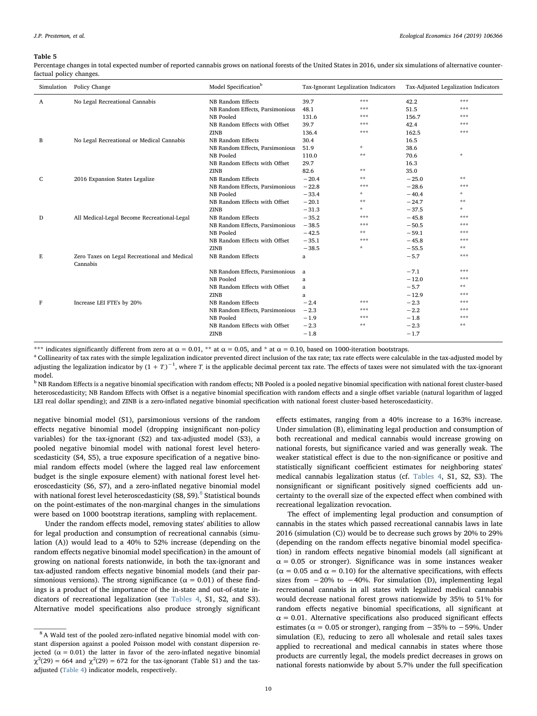<span id="page-9-0"></span>Percentage changes in total expected number of reported cannabis grows on national forests of the United States in 2016, under six simulations of alternative counterfactual policy changes.

| Simulation | Policy Change                                            | Model Specification <sup>b</sup> | Tax-Ignorant Legalization Indicators |         | Tax-Adjusted Legalization Indicators |                    |
|------------|----------------------------------------------------------|----------------------------------|--------------------------------------|---------|--------------------------------------|--------------------|
| A          | No Legal Recreational Cannabis                           | NB Random Effects                | 39.7                                 | ***     | 42.2                                 | ***                |
|            |                                                          | NB Random Effects, Parsimonious  | 48.1                                 | ***     | 51.5                                 | ***                |
|            |                                                          | NB Pooled                        | 131.6                                | ***     | 156.7                                | ***                |
|            |                                                          | NB Random Effects with Offset    | 39.7                                 | ***     | 42.4                                 | ***                |
|            |                                                          | <b>ZINB</b>                      | 136.4                                | ***     | 162.5                                | ***                |
| В          | No Legal Recreational or Medical Cannabis                | NB Random Effects                | 30.4                                 |         | 16.5                                 |                    |
|            |                                                          | NB Random Effects, Parsimonious  | 51.9                                 | $\star$ | 38.6                                 |                    |
|            |                                                          | NB Pooled                        | 110.0                                | **      | 70.6                                 | $\dot{\mathbf{x}}$ |
|            |                                                          | NB Random Effects with Offset    | 29.7                                 |         | 16.3                                 |                    |
|            |                                                          | <b>ZINB</b>                      | 82.6                                 | **      | 35.0                                 |                    |
| C          | 2016 Expansion States Legalize                           | NB Random Effects                | $-20.4$                              | $**$    | $-25.0$                              | $**$               |
|            |                                                          | NB Random Effects, Parsimonious  | $-22.8$                              | ***     | $-28.6$                              | ***                |
|            |                                                          | NB Pooled                        | $-33.4$                              | $\star$ | $-40.4$                              | $\mathcal{R}$      |
|            |                                                          | NB Random Effects with Offset    | $-20.1$                              | **      | $-24.7$                              | **                 |
|            |                                                          | <b>ZINB</b>                      | $-31.3$                              | $\star$ | $-37.5$                              | $\mathcal{R}$      |
| D          | All Medical-Legal Become Recreational-Legal              | NB Random Effects                | $-35.2$                              | ***     | $-45.8$                              | ***                |
|            |                                                          | NB Random Effects, Parsimonious  | $-38.5$                              | ***     | $-50.5$                              | ***                |
|            |                                                          | NB Pooled                        | $-42.5$                              | $**$    | $-59.1$                              | ***                |
|            |                                                          | NB Random Effects with Offset    | $-35.1$                              | ***     | $-45.8$                              | ***                |
|            |                                                          | <b>ZINB</b>                      | $-38.5$                              | $\star$ | $-55.5$                              | **                 |
| E          | Zero Taxes on Legal Recreational and Medical<br>Cannabis | NB Random Effects                | a                                    |         | $-5.7$                               | ***                |
|            |                                                          | NB Random Effects, Parsimonious  | a                                    |         | $-7.1$                               | ***                |
|            |                                                          | NB Pooled                        | a                                    |         | $-12.0$                              | ***                |
|            |                                                          | NB Random Effects with Offset    | a                                    |         | $-5.7$                               | **                 |
|            |                                                          | <b>ZINB</b>                      | a                                    |         | $-12.9$                              | ***                |
| F          | Increase LEI FTE's by 20%                                | NB Random Effects                | $-2.4$                               | ***     | $-2.3$                               | ***                |
|            |                                                          | NB Random Effects, Parsimonious  | $-2.3$                               | ***     | $-2.2$                               | ***                |
|            |                                                          | NB Pooled                        | $-1.9$                               | ***     | $-1.8$                               | ***                |
|            |                                                          | NB Random Effects with Offset    | $-2.3$                               | **      | $-2.3$                               | **                 |
|            |                                                          | <b>ZINB</b>                      | $-1.8$                               |         | $-1.7$                               |                    |
|            |                                                          |                                  |                                      |         |                                      |                    |

\*\*\* indicates significantly different from zero at  $\alpha = 0.01$ , \*\* at  $\alpha = 0.05$ , and \* at  $\alpha = 0.10$ , based on 1000-iteration bootstraps.<br><sup>a</sup> Collinearity of tax rates with the simple legalization indicator prevented dire adjusting the legalization indicator by  $(1+T)^{-1}$ , where  $T$  is the applicable decimal percent tax rate. The effects of taxes were not simulated with the tax-ignorant model.

<sup>b</sup> NB Random Effects is a negative binomial specification with random effects; NB Pooled is a pooled negative binomial specification with national forest cluster-based heteroscedasticity; NB Random Effects with Offset is a negative binomial specification with random effects and a single offset variable (natural logarithm of lagged LEI real dollar spending); and ZINB is a zero-inflated negative binomial specification with national forest cluster-based heteroscedasticity.

negative binomial model (S1), parsimonious versions of the random effects negative binomial model (dropping insignificant non-policy variables) for the tax-ignorant (S2) and tax-adjusted model (S3), a pooled negative binomial model with national forest level heteroscedasticity (S4, S5), a true exposure specification of a negative binomial random effects model (where the lagged real law enforcement budget is the single exposure element) with national forest level heteroscedasticity (S6, S7), and a zero-inflated negative binomial model with national forest level heteroscedasticity  $(S8, S9)$  $(S8, S9)$  $(S8, S9)$ .<sup>8</sup> Statistical bounds on the point-estimates of the non-marginal changes in the simulations were based on 1000 bootstrap iterations, sampling with replacement.

Under the random effects model, removing states' abilities to allow for legal production and consumption of recreational cannabis (simulation (A)) would lead to a 40% to 52% increase (depending on the random effects negative binomial model specification) in the amount of growing on national forests nationwide, in both the tax-ignorant and tax-adjusted random effects negative binomial models (and their parsimonious versions). The strong significance ( $\alpha = 0.01$ ) of these findings is a product of the importance of the in-state and out-of-state indicators of recreational legalization (see [Tables 4](#page-7-0), S1, S2, and S3). Alternative model specifications also produce strongly significant

effects estimates, ranging from a 40% increase to a 163% increase. Under simulation (B), eliminating legal production and consumption of both recreational and medical cannabis would increase growing on national forests, but significance varied and was generally weak. The weaker statistical effect is due to the non-significance or positive and statistically significant coefficient estimates for neighboring states' medical cannabis legalization status (cf. [Tables 4](#page-7-0), S1, S2, S3). The nonsignificant or significant positively signed coefficients add uncertainty to the overall size of the expected effect when combined with recreational legalization revocation.

The effect of implementing legal production and consumption of cannabis in the states which passed recreational cannabis laws in late 2016 (simulation (C)) would be to decrease such grows by 20% to 29% (depending on the random effects negative binomial model specification) in random effects negative binomial models (all significant at  $\alpha$  = 0.05 or stronger). Significance was in some instances weaker ( $\alpha$  = 0.05 and  $\alpha$  = 0.10) for the alternative specifications, with effects sizes from  $-20\%$  to  $-40\%$ . For simulation (D), implementing legal recreational cannabis in all states with legalized medical cannabis would decrease national forest grows nationwide by 35% to 51% for random effects negative binomial specifications, all significant at  $\alpha = 0.01$ . Alternative specifications also produced significant effects estimates ( $\alpha$  = 0.05 or stronger), ranging from  $-35\%$  to  $-59\%$ . Under simulation (E), reducing to zero all wholesale and retail sales taxes applied to recreational and medical cannabis in states where those products are currently legal, the models predict decreases in grows on national forests nationwide by about 5.7% under the full specification

<span id="page-9-1"></span><sup>&</sup>lt;sup>8</sup> A Wald test of the pooled zero-inflated negative binomial model with constant dispersion against a pooled Poisson model with constant dispersion rejected ( $\alpha$  = 0.01) the latter in favor of the zero-inflated negative binomial  $\chi^2(29) = 664$  and  $\chi^2(29) = 672$  for the tax-ignorant (Table S1) and the taxadjusted [\(Table 4](#page-7-0)) indicator models, respectively.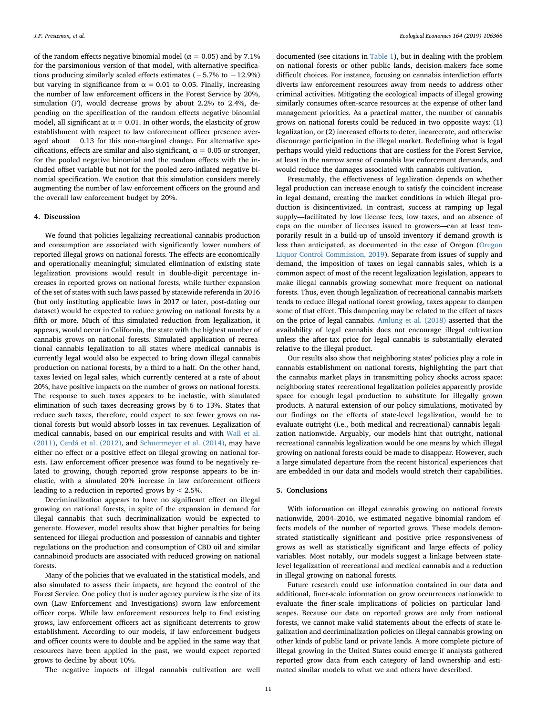of the random effects negative binomial model ( $\alpha$  = 0.05) and by 7.1% for the parsimonious version of that model, with alternative specifications producing similarly scaled effects estimates (−5.7% to −12.9%) but varying in significance from  $\alpha = 0.01$  to 0.05. Finally, increasing the number of law enforcement officers in the Forest Service by 20%, simulation (F), would decrease grows by about 2.2% to 2.4%, depending on the specification of the random effects negative binomial model, all significant at  $\alpha = 0.01$ . In other words, the elasticity of grow establishment with respect to law enforcement officer presence averaged about −0.13 for this non-marginal change. For alternative specifications, effects are similar and also significant,  $\alpha = 0.05$  or stronger, for the pooled negative binomial and the random effects with the included offset variable but not for the pooled zero-inflated negative binomial specification. We caution that this simulation considers merely augmenting the number of law enforcement officers on the ground and the overall law enforcement budget by 20%.

## 4. Discussion

We found that policies legalizing recreational cannabis production and consumption are associated with significantly lower numbers of reported illegal grows on national forests. The effects are economically and operationally meaningful; simulated elimination of existing state legalization provisions would result in double-digit percentage increases in reported grows on national forests, while further expansion of the set of states with such laws passed by statewide referenda in 2016 (but only instituting applicable laws in 2017 or later, post-dating our dataset) would be expected to reduce growing on national forests by a fifth or more. Much of this simulated reduction from legalization, it appears, would occur in California, the state with the highest number of cannabis grows on national forests. Simulated application of recreational cannabis legalization to all states where medical cannabis is currently legal would also be expected to bring down illegal cannabis production on national forests, by a third to a half. On the other hand, taxes levied on legal sales, which currently centered at a rate of about 20%, have positive impacts on the number of grows on national forests. The response to such taxes appears to be inelastic, with simulated elimination of such taxes decreasing grows by 6 to 13%. States that reduce such taxes, therefore, could expect to see fewer grows on national forests but would absorb losses in tax revenues. Legalization of medical cannabis, based on our empirical results and with [Wall et al.](#page-12-7) [\(2011\),](#page-12-7) [Cerdá et al. \(2012\),](#page-11-29) and [Schuermeyer et al. \(2014\)](#page-11-45), may have either no effect or a positive effect on illegal growing on national forests. Law enforcement officer presence was found to be negatively related to growing, though reported grow response appears to be inelastic, with a simulated 20% increase in law enforcement officers leading to a reduction in reported grows by < 2.5%.

Decriminalization appears to have no significant effect on illegal growing on national forests, in spite of the expansion in demand for illegal cannabis that such decriminalization would be expected to generate. However, model results show that higher penalties for being sentenced for illegal production and possession of cannabis and tighter regulations on the production and consumption of CBD oil and similar cannabinoid products are associated with reduced growing on national forests.

Many of the policies that we evaluated in the statistical models, and also simulated to assess their impacts, are beyond the control of the Forest Service. One policy that is under agency purview is the size of its own (Law Enforcement and Investigations) sworn law enforcement officer corps. While law enforcement resources help to find existing grows, law enforcement officers act as significant deterrents to grow establishment. According to our models, if law enforcement budgets and officer counts were to double and be applied in the same way that resources have been applied in the past, we would expect reported grows to decline by about 10%.

The negative impacts of illegal cannabis cultivation are well

documented (see citations in [Table 1\)](#page-2-0), but in dealing with the problem on national forests or other public lands, decision-makers face some difficult choices. For instance, focusing on cannabis interdiction efforts diverts law enforcement resources away from needs to address other criminal activities. Mitigating the ecological impacts of illegal growing similarly consumes often-scarce resources at the expense of other land management priorities. As a practical matter, the number of cannabis grows on national forests could be reduced in two opposite ways: (1) legalization, or (2) increased efforts to deter, incarcerate, and otherwise discourage participation in the illegal market. Redefining what is legal perhaps would yield reductions that are costless for the Forest Service, at least in the narrow sense of cannabis law enforcement demands, and would reduce the damages associated with cannabis cultivation.

Presumably, the effectiveness of legalization depends on whether legal production can increase enough to satisfy the coincident increase in legal demand, creating the market conditions in which illegal production is disincentivized. In contrast, success at ramping up legal supply—facilitated by low license fees, low taxes, and an absence of caps on the number of licenses issued to growers—can at least temporarily result in a build-up of unsold inventory if demand growth is less than anticipated, as documented in the case of Oregon ([Oregon](#page-11-46) [Liquor Control Commission, 2019\)](#page-11-46). Separate from issues of supply and demand, the imposition of taxes on legal cannabis sales, which is a common aspect of most of the recent legalization legislation, appears to make illegal cannabis growing somewhat more frequent on national forests. Thus, even though legalization of recreational cannabis markets tends to reduce illegal national forest growing, taxes appear to dampen some of that effect. This dampening may be related to the effect of taxes on the price of legal cannabis. [Amlung et al. \(2018\)](#page-11-18) asserted that the availability of legal cannabis does not encourage illegal cultivation unless the after-tax price for legal cannabis is substantially elevated relative to the illegal product.

Our results also show that neighboring states' policies play a role in cannabis establishment on national forests, highlighting the part that the cannabis market plays in transmitting policy shocks across space: neighboring states' recreational legalization policies apparently provide space for enough legal production to substitute for illegally grown products. A natural extension of our policy simulations, motivated by our findings on the effects of state-level legalization, would be to evaluate outright (i.e., both medical and recreational) cannabis legalization nationwide. Arguably, our models hint that outright, national recreational cannabis legalization would be one means by which illegal growing on national forests could be made to disappear. However, such a large simulated departure from the recent historical experiences that are embedded in our data and models would stretch their capabilities.

#### 5. Conclusions

With information on illegal cannabis growing on national forests nationwide, 2004–2016, we estimated negative binomial random effects models of the number of reported grows. These models demonstrated statistically significant and positive price responsiveness of grows as well as statistically significant and large effects of policy variables. Most notably, our models suggest a linkage between statelevel legalization of recreational and medical cannabis and a reduction in illegal growing on national forests.

Future research could use information contained in our data and additional, finer-scale information on grow occurrences nationwide to evaluate the finer-scale implications of policies on particular landscapes. Because our data on reported grows are only from national forests, we cannot make valid statements about the effects of state legalization and decriminalization policies on illegal cannabis growing on other kinds of public land or private lands. A more complete picture of illegal growing in the United States could emerge if analysts gathered reported grow data from each category of land ownership and estimated similar models to what we and others have described.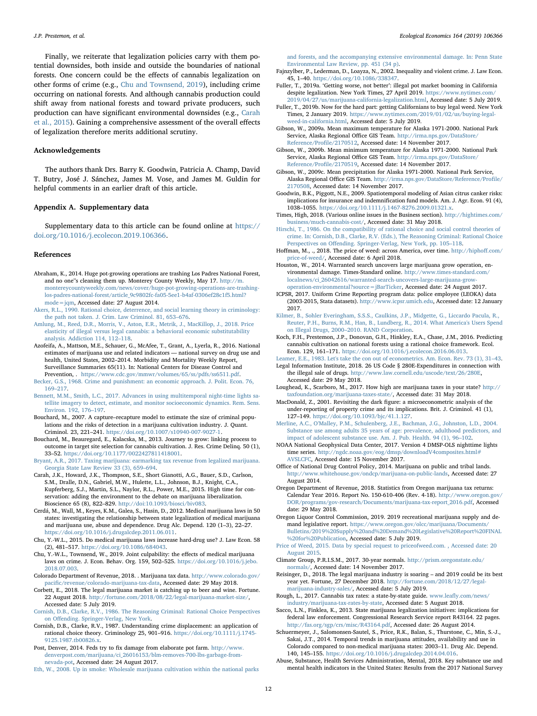Finally, we reiterate that legalization policies carry with them potential downsides, both inside and outside the boundaries of national forests. One concern could be the effects of cannabis legalization on other forms of crime (e.g., [Chu and Townsend, 2019](#page-11-47)), including crime occurring on national forests. And although cannabis production could shift away from national forests and toward private producers, such production can have significant environmental downsides (e.g., [Carah](#page-11-9) [et al., 2015](#page-11-9)). Gaining a comprehensive assessment of the overall effects of legalization therefore merits additional scrutiny.

## Acknowledgements

The authors thank Drs. Barry K. Goodwin, Patricia A. Champ, David T. Butry, José J. Sánchez, James M. Vose, and James M. Guldin for helpful comments in an earlier draft of this article.

## Appendix A. Supplementary data

Supplementary data to this article can be found online at [https://](https://doi.org/10.1016/j.ecolecon.2019.106366) [doi.org/10.1016/j.ecolecon.2019.106366](https://doi.org/10.1016/j.ecolecon.2019.106366).

#### References

- <span id="page-11-27"></span>Abraham, K., 2014. Huge pot-growing operations are trashing Los Padres National Forest, and no one''s cleaning them up. Monterey County Weekly, May 17. [http://m.](http://m.montereycountyweekly.com/news/cover/huge-pot-growing-operations-are-trashing-los-padres-national-forest/article_9c9802fc-fa05-5ee1-b4af-0306ef28c1f5.html?mode=jqm) [montereycountyweekly.com/news/cover/huge-pot-growing-operations-are-trashing](http://m.montereycountyweekly.com/news/cover/huge-pot-growing-operations-are-trashing-los-padres-national-forest/article_9c9802fc-fa05-5ee1-b4af-0306ef28c1f5.html?mode=jqm)[los-padres-national-forest/article\\_9c9802fc-fa05-5ee1-b4af-0306ef28c1f5.html?](http://m.montereycountyweekly.com/news/cover/huge-pot-growing-operations-are-trashing-los-padres-national-forest/article_9c9802fc-fa05-5ee1-b4af-0306ef28c1f5.html?mode=jqm) [mode=jqm](http://m.montereycountyweekly.com/news/cover/huge-pot-growing-operations-are-trashing-los-padres-national-forest/article_9c9802fc-fa05-5ee1-b4af-0306ef28c1f5.html?mode=jqm), Accessed date: 27 August 2014.
- <span id="page-11-21"></span>[Akers, R.L., 1990. Rational choice, deterrence, and social learning theory in criminology:](http://refhub.elsevier.com/S0921-8009(18)31846-9/rf0010) [the path not taken. J. Crim. Law Criminol. 81, 653](http://refhub.elsevier.com/S0921-8009(18)31846-9/rf0010)–676.
- <span id="page-11-18"></span>[Amlung, M., Reed, D.R., Morris, V., Aston, E.R., Metrik, J., MacKillop, J., 2018. Price](http://refhub.elsevier.com/S0921-8009(18)31846-9/rf0015) [elasticity of illegal versus legal cannabis: a behavioral economic substitutability](http://refhub.elsevier.com/S0921-8009(18)31846-9/rf0015) [analysis. Addiction 114, 112](http://refhub.elsevier.com/S0921-8009(18)31846-9/rf0015)–118.
- <span id="page-11-6"></span>Azofeifa, A., Mattson, M.E., Schauer, G., McAfee, T., Grant, A., Lyerla, R., 2016. National estimates of marijuana use and related indicators — national survey on drug use and health, United States, 2002–2014. Morbidity and Mortality Weekly Report, Surveillance Summaries 65(11). In: National Centers for Disease Control and Prevention, . [https://www.cdc.gov/mmwr/volumes/65/ss/pdfs/ss6511.pdf.](https://www.cdc.gov/mmwr/volumes/65/ss/pdfs/ss6511.pdf)
- <span id="page-11-19"></span>[Becker, G.S., 1968. Crime and punishment: an economic approach. J. Polit. Econ. 76,](http://refhub.elsevier.com/S0921-8009(18)31846-9/rf0025) 169–[217](http://refhub.elsevier.com/S0921-8009(18)31846-9/rf0025).
- <span id="page-11-44"></span>[Bennett, M.M., Smith, L.C., 2017. Advances in using multitemporal night-time lights sa](http://refhub.elsevier.com/S0921-8009(18)31846-9/rf0030)[tellite imagery to detect, estimate, and monitor socioeconomic dynamics. Rem. Sens.](http://refhub.elsevier.com/S0921-8009(18)31846-9/rf0030) [Environ. 192, 176](http://refhub.elsevier.com/S0921-8009(18)31846-9/rf0030)–197.
- <span id="page-11-16"></span>Bouchard, M., 2007. A capture–recapture model to estimate the size of criminal populations and the risks of detection in a marijuana cultivation industry. J. Quant. Criminol. 23, 221–241. <https://doi.org/10.1007/s10940-007-9027-1>.
- <span id="page-11-17"></span>Bouchard, M., Beauregard, E., Kalacska, M., 2013. Journey to grow: linking process to outcome in target site selection for cannabis cultivation. J. Res. Crime Delinq. 50 (1), 33–52. <https://doi.org/10.1177/0022427811418001>.
- <span id="page-11-1"></span>[Bryant, A.R., 2017. Taxing marijuana: earmarking tax revenue from legalized marijuana.](http://refhub.elsevier.com/S0921-8009(18)31846-9/rf0045) [Georgia State Law Review 33 \(3\), 659](http://refhub.elsevier.com/S0921-8009(18)31846-9/rf0045)–694.
- <span id="page-11-9"></span>Carah, J.K., Howard, J.K., Thompson, S.E., Short Gianotti, A.G., Bauer, S.D., Carlson, S.M., Dralle, D.N., Gabriel, M.W., Hulette, L.L., Johnson, B.J., Knight, C.A., Kupferberg, S.J., Martin, S.L., Naylor, R.L., Power, M.E., 2015. High time for conservation: adding the environment to the debate on marijuana liberalization. Bioscience 65 (8), 822–829. [http://doi:10.1093/biosci/biv083](https://doi.org/10.1093/biosci/biv083).
- <span id="page-11-29"></span>Cerdá, M., Wall, M., Keyes, K.M., Galea, S., Hasin, D., 2012. Medical marijuana laws in 50 states: investigating the relationship between state legalization of medical marijuana and marijuana use, abuse and dependence. Drug Alc. Depend. 120 (1–3), 22–27. <https://doi.org/10.1016/j.drugalcdep.2011.06.011>.
- <span id="page-11-30"></span>Chu, Y.-W.L., 2015. Do medical marijuana laws increase hard-drug use? J. Law Econ. 58 (2), 481–517. [https://doi.org/10.1086/684043.](https://doi.org/10.1086/684043)
- <span id="page-11-47"></span>Chu, Y.-W.L., Townsend, W., 2019. Joint culpability: the effects of medical marijuana laws on crime. J. Econ. Behav. Org. 159, 502–525. [https://doi.org/10.1016/j.jebo.](https://doi.org/10.1016/j.jebo.2018.07.003) [2018.07.003](https://doi.org/10.1016/j.jebo.2018.07.003).
- <span id="page-11-2"></span>Colorado Department of Revenue, 2018. . Marijuana tax data. [http://www.colorado.gov/](http://www.colorado.gov/pacific/revenue/colorado-marijuana-tax-data) pacifi[c/revenue/colorado-marijuana-tax-data](http://www.colorado.gov/pacific/revenue/colorado-marijuana-tax-data), Accessed date: 29 May 2018.
- <span id="page-11-7"></span>Corbett, E., 2018. The legal marijuana market is catching up to beer and wine. Fortune. 22 August 2018. [http://fortune.com/2018/08/22/legal-marijuana-market-size/,](http://fortune.com/2018/08/22/legal-marijuana-market-size/) Accessed date: 5 July 2019.
- <span id="page-11-20"></span>[Cornish, D.B., Clarke, R.V., 1986. The Reasoning Criminal: Rational Choice Perspectives](http://refhub.elsevier.com/S0921-8009(18)31846-9/rf0080) on Off[ending. Springer-Verlag, New York](http://refhub.elsevier.com/S0921-8009(18)31846-9/rf0080).
- Cornish, D.B., Clarke, R.V., 1987. Understanding crime displacement: an application of rational choice theory. Criminology 25, 901–916. [https://doi.org/10.1111/j.1745-](https://doi.org/10.1111/j.1745-9125.1987.tb00826.x) [9125.1987.tb00826.x.](https://doi.org/10.1111/j.1745-9125.1987.tb00826.x)
- <span id="page-11-26"></span>Post, Denver, 2014. Feds try to fix damage from elaborate pot farm. [http://www.](http://www.denverpost.com/marijuana/ci_26016153/blm-removes-700-lbs-garbage-from-nevada-pot) [denverpost.com/marijuana/ci\\_26016153/blm-removes-700-lbs-garbage-from](http://www.denverpost.com/marijuana/ci_26016153/blm-removes-700-lbs-garbage-from-nevada-pot)[nevada-pot](http://www.denverpost.com/marijuana/ci_26016153/blm-removes-700-lbs-garbage-from-nevada-pot), Accessed date: 24 August 2017.
- <span id="page-11-14"></span>[Eth, W., 2008. Up in smoke: Wholesale marijuana cultivation within the national parks](http://refhub.elsevier.com/S0921-8009(18)31846-9/rf0100)

[and forests, and the accompanying extensive environmental damage. In: Penn State](http://refhub.elsevier.com/S0921-8009(18)31846-9/rf0100) [Environmental Law Review, pp. 451 \(34 p\)](http://refhub.elsevier.com/S0921-8009(18)31846-9/rf0100).

- <span id="page-11-24"></span>Fajnzylber, P., Lederman, D., Loayza, N., 2002. Inequality and violent crime. J. Law Econ. 45, 1–40. [https://doi.org/10.1086/338347.](https://doi.org/10.1086/338347)
- <span id="page-11-10"></span>Fuller, T., 2019a. 'Getting worse, not better': illegal pot market booming in California despite legalization. New York Times, 27 April 2019. [https://www.nytimes.com/](https://www.nytimes.com/2019/04/27/us/marijuana-california-legalization.html) [2019/04/27/us/marijuana-california-legalization.html](https://www.nytimes.com/2019/04/27/us/marijuana-california-legalization.html), Accessed date: 5 July 2019.
- <span id="page-11-11"></span>Fuller, T., 2019b. Now for the hard part: getting Californians to buy legal weed. New York Times, 2 January 2019. [https://www.nytimes.com/2019/01/02/us/buying-legal](https://www.nytimes.com/2019/01/02/us/buying-legal-weed-in-california.html)[weed-in-california.html,](https://www.nytimes.com/2019/01/02/us/buying-legal-weed-in-california.html) Accessed date: 5 July 2019.
- <span id="page-11-39"></span>Gibson, W., 2009a. Mean maximum temperature for Alaska 1971-2000. National Park Service, Alaska Regional Office GIS Team. [http://irma.nps.gov/DataStore/](http://irma.nps.gov/DataStore/Reference/Profile/2170512) [Reference/Pro](http://irma.nps.gov/DataStore/Reference/Profile/2170512)file/2170512, Accessed date: 14 November 2017.
- <span id="page-11-38"></span>Gibson, W., 2009b. Mean minimum temperature for Alaska 1971-2000. National Park Service, Alaska Regional Office GIS Team. [http://irma.nps.gov/DataStore/](http://irma.nps.gov/DataStore/Reference/Profile/2170519) [Reference/Pro](http://irma.nps.gov/DataStore/Reference/Profile/2170519)file/2170519, Accessed date: 14 November 2017.
- <span id="page-11-37"></span>Gibson, W., 2009c. Mean precipitation for Alaska 1971-2000. National Park Service, Alaska Regional Office GIS Team. [http://irma.nps.gov/DataStore/Reference/Pro](http://irma.nps.gov/DataStore/Reference/Profile/2170508)file/ [2170508,](http://irma.nps.gov/DataStore/Reference/Profile/2170508) Accessed date: 14 November 2017.
- <span id="page-11-25"></span>Goodwin, B.K., Piggott, N.E., 2009. Spatiotemporal modeling of Asian citrus canker risks: implications for insurance and indemnification fund models. Am. J. Agr. Econ. 91 (4), 1038–1055. <https://doi.org/10.1111/j.1467-8276.2009.01321.x>.
- <span id="page-11-34"></span>Times, High, 2018. (Various online issues in the Business section). [http://hightimes.com/](http://hightimes.com/business/much-cannabis-cost/) [business/much-cannabis-cost/,](http://hightimes.com/business/much-cannabis-cost/) Accessed date: 31 May 2018.
- <span id="page-11-22"></span>[Hirschi, T., 1986. On the compatibility of rational choice and social control theories of](http://refhub.elsevier.com/S0921-8009(18)31846-9/rf0145) [crime. In: Cornish, D.B., Clarke, R.V. \(Eds.\), The Reasoning Criminal: Rational Choice](http://refhub.elsevier.com/S0921-8009(18)31846-9/rf0145) Perspectives on Off[ending. Springer-Verlag, New York, pp. 105](http://refhub.elsevier.com/S0921-8009(18)31846-9/rf0145)–118.
- <span id="page-11-31"></span>Hoffman, M., ., 2018. The price of weed: across America, over time. [http://hipho](http://hiphoff.com/price-of-weed/)ff.com/ [price-of-weed/](http://hiphoff.com/price-of-weed/), Accessed date: 6 April 2018.
- <span id="page-11-28"></span>Houston, W., 2014. Warranted search uncovers large marijuana grow operation, environmental damage. Times-Standard online. [http://www.times-standard.com/](http://www.times-standard.com/localnews/ci_26042616/warranted-search-uncovers-large-marijuana-grow-operation-environmental?source=jBarTicker) [localnews/ci\\_26042616/warranted-search-uncovers-large-marijuana-grow](http://www.times-standard.com/localnews/ci_26042616/warranted-search-uncovers-large-marijuana-grow-operation-environmental?source=jBarTicker)[operation-environmental?source=jBarTicker,](http://www.times-standard.com/localnews/ci_26042616/warranted-search-uncovers-large-marijuana-grow-operation-environmental?source=jBarTicker) Accessed date: 24 August 2017.
- <span id="page-11-42"></span>ICPSR, 2017. Uniform Crime Reporting program data: police employee (LEOKA) data (2003-2015, Stata datasets). [http://www.icpsr.umich.edu,](http://www.icpsr.umich.edu) Accessed date: 12 January 2017.
- <span id="page-11-35"></span>[Kilmer, B., Sohler Everingham, S.S.S., Caulkins, J.P., Midgette, G., Liccardo Pacula, R.,](http://refhub.elsevier.com/S0921-8009(18)31846-9/rf0165) [Reuter, P.H., Burns, R.M., Han, B., Lundberg, R., 2014. What America's Users Spend](http://refhub.elsevier.com/S0921-8009(18)31846-9/rf0165) on Illegal Drugs, 2000–[2010. RAND Corporation](http://refhub.elsevier.com/S0921-8009(18)31846-9/rf0165).
- <span id="page-11-13"></span>Koch, F.H., Prestemon, J.P., Donovan, G.H., Hinkley, E.A., Chase, J.M., 2016. Predicting cannabis cultivation on national forests using a rational choice framework. Ecol. Econ. 129, 161–171. <https://doi.org/10.1016/j.ecolecon.2016.06.013>.

<span id="page-11-41"></span>[Leamer, E.E., 1983. Let's take the con out of econometrics. Am. Econ. Rev. 73 \(1\), 31](http://refhub.elsevier.com/S0921-8009(18)31846-9/rf0175)–43.

- <span id="page-11-4"></span>Legal Information Institute, 2018. 26 US Code § 280E-Expenditures in connection with the illegal sale of drugs. <http://www.law.cornell.edu/uscode/text/26/280E>, Accessed date: 29 May 2018.
- <span id="page-11-32"></span>Loughead, K., Scarboro, M., 2017. How high are marijuana taxes in your state? [http://](http://taxfoundation.org/marijuana-taxes-state/) [taxfoundation.org/marijuana-taxes-state/,](http://taxfoundation.org/marijuana-taxes-state/) Accessed date: 31 May 2018.
- <span id="page-11-23"></span>MacDonald, Z., 2001. Revisiting the dark figure: a microeconometric analysis of the under-reporting of property crime and its implications. Brit. J. Criminol. 41 (1), 127–149. [https://doi.org/10.1093/bjc/41.1.127.](https://doi.org/10.1093/bjc/41.1.127)
- <span id="page-11-5"></span>[Merline, A.C., O'Malley, P.M., Schulenberg, J.E., Bachman, J.G., Johnston, L.D., 2004.](http://refhub.elsevier.com/S0921-8009(18)31846-9/rf0195) [Substance use among adults 35 years of age: prevalence, adulthood predictors, and](http://refhub.elsevier.com/S0921-8009(18)31846-9/rf0195) [impact of adolescent substance use. Am. J. Pub. Health. 94 \(1\), 96](http://refhub.elsevier.com/S0921-8009(18)31846-9/rf0195)–102.
- <span id="page-11-40"></span>NOAA National Geophysical Data Center, 2017. Version 4 DMSP-OLS nighttime lights time series. [http://ngdc.noaa.gov/eog/dmsp/downloadV4composites.html#](http://ngdc.noaa.gov/eog/dmsp/downloadV4composites.html#AVSLCFC) [AVSLCFC](http://ngdc.noaa.gov/eog/dmsp/downloadV4composites.html#AVSLCFC), Accessed date: 15 November 2017.
- <span id="page-11-15"></span>Office of National Drug Control Policy, 2014. Marijuana on public and tribal lands. [http://www.whitehouse.gov/ondcp/marijuana-on-public-lands,](http://www.whitehouse.gov/ondcp/marijuana-on-public-lands) Accessed date: 27 August 2014.
- <span id="page-11-3"></span>Oregon Department of Revenue, 2018. Statistics from Oregon marijuana tax returns: Calendar Year 2016. Report No. 150-610-406 (Rev. 4-18). [http://www.oregon.gov/](http://www.oregon.gov/DOR/programs/gov-research/Documents/marijuana-tax-report_2016.pdf) [DOR/programs/gov-research/Documents/marijuana-tax-report\\_2016.pdf](http://www.oregon.gov/DOR/programs/gov-research/Documents/marijuana-tax-report_2016.pdf), Accessed date: 29 May 2018.
- <span id="page-11-46"></span>Oregon Liquor Control Commission, 2019. 2019 recreational marijuana supply and demand legislative report. [https://www.oregon.gov/olcc/marijuana/Documents/](https://www.oregon.gov/olcc/marijuana/Documents/Bulletins/2019%20Supply%20and%20Demand%20Legislative%20Report%20FINAL%20for%20Publication) [Bulletins/2019%20Supply%20and%20Demand%20Legislative%20Report%20FINAL](https://www.oregon.gov/olcc/marijuana/Documents/Bulletins/2019%20Supply%20and%20Demand%20Legislative%20Report%20FINAL%20for%20Publication) [%20for%20Publication,](https://www.oregon.gov/olcc/marijuana/Documents/Bulletins/2019%20Supply%20and%20Demand%20Legislative%20Report%20FINAL%20for%20Publication) Accessed date: 5 July 2019.
- <span id="page-11-33"></span>[Price of Weed, 2015. Data by special request to priceofweed.com. , Accessed date: 20](http://refhub.elsevier.com/S0921-8009(18)31846-9/rf4000) [August 2015.](http://refhub.elsevier.com/S0921-8009(18)31846-9/rf4000)
- <span id="page-11-36"></span>Climate Group, P.R.I.S.M., 2017. 30-year normals. [http://prism.oregonstate.edu/](http://prism.oregonstate.edu/normals/) [normals/](http://prism.oregonstate.edu/normals/), Accessed date: 14 November 2017.
- <span id="page-11-8"></span>Reisinger, D., 2018. The legal marijuana industry is soaring – and 2019 could be its best year yet. Fortune, 27 December 2018. [http://fortune.com/2018/12/27/legal](http://fortune.com/2018/12/27/legal-marijuana-industry-sales/)[marijuana-industry-sales/](http://fortune.com/2018/12/27/legal-marijuana-industry-sales/), Accessed date: 5 July 2019.
- <span id="page-11-43"></span>Rough, L., 2017. Cannabis tax rates: a state-by-state guide. www.leafl[y.com/news/](http://www.leafly.com/news/industry/marijuana-tax-rates-by-state) [industry/marijuana-tax-rates-by-state](http://www.leafly.com/news/industry/marijuana-tax-rates-by-state), Accessed date: 5 August 2018.
- <span id="page-11-0"></span>Sacco, L.N., Finklea, K., 2013. State marijuana legalization initiatives: implications for federal law enforcement. Congressional Research Service report R43164. 22 pages. <http://fas.org/sgp/crs/misc/R43164.pdf>, Accessed date: 26 August 2014.
- <span id="page-11-45"></span>Schuermeyer, J., Salomonsen-Sautel, S., Price, R.K., Balan, S., Thurstone, C., Min, S.-J., Sakai, J.T., 2014. Temporal trends in marijuana attitudes, availability and use in Colorado compared to non-medical marijuana states: 2003–11. Drug Alc. Depend. 140, 145–155. <https://doi.org/10.1016/j.drugalcdep.2014.04.016>.
- <span id="page-11-12"></span>Abuse, Substance, Health Services Administration, Mental, 2018. Key substance use and mental health indicators in the United States: Results from the 2017 National Survey